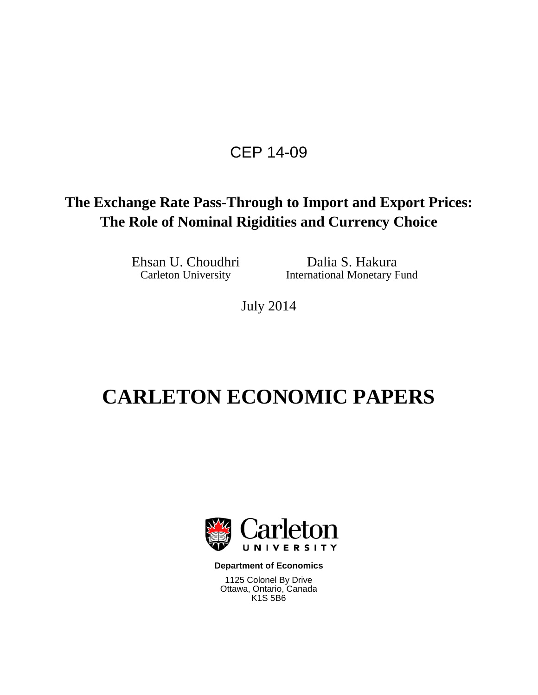# CEP 14-09

## **The Exchange Rate Pass-Through to Import and Export Prices: The Role of Nominal Rigidities and Currency Choice**

Ehsan U. Choudhri Dalia S. Hakura<br>Carleton University International Monetary F International Monetary Fund

July 2014

# **CARLETON ECONOMIC PAPERS**



**Department of Economics**

1125 Colonel By Drive Ottawa, Ontario, Canada K1S 5B6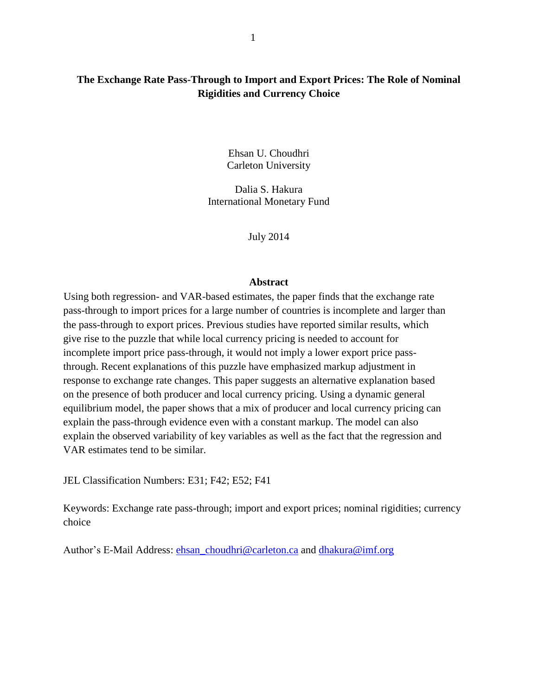#### **The Exchange Rate Pass-Through to Import and Export Prices: The Role of Nominal Rigidities and Currency Choice**

Ehsan U. Choudhri Carleton University

Dalia S. Hakura International Monetary Fund

July 2014

#### **Abstract**

Using both regression- and VAR-based estimates, the paper finds that the exchange rate pass-through to import prices for a large number of countries is incomplete and larger than the pass-through to export prices. Previous studies have reported similar results, which give rise to the puzzle that while local currency pricing is needed to account for incomplete import price pass-through, it would not imply a lower export price passthrough. Recent explanations of this puzzle have emphasized markup adjustment in response to exchange rate changes. This paper suggests an alternative explanation based on the presence of both producer and local currency pricing. Using a dynamic general equilibrium model, the paper shows that a mix of producer and local currency pricing can explain the pass-through evidence even with a constant markup. The model can also explain the observed variability of key variables as well as the fact that the regression and VAR estimates tend to be similar.

JEL Classification Numbers: E31; F42; E52; F41

Keywords: Exchange rate pass-through; import and export prices; nominal rigidities; currency choice

Author's E-Mail Address: [ehsan\\_choudhri@carleton.ca](mailto:ehsan_choudhri@carleton.ca) and [dhakura@imf.org](mailto:dhakura@imf.org)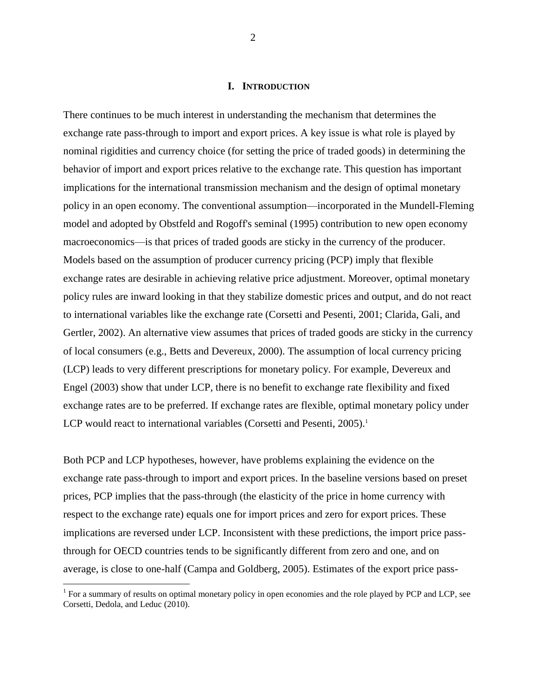#### **I. INTRODUCTION**

There continues to be much interest in understanding the mechanism that determines the exchange rate pass-through to import and export prices. A key issue is what role is played by nominal rigidities and currency choice (for setting the price of traded goods) in determining the behavior of import and export prices relative to the exchange rate. This question has important implications for the international transmission mechanism and the design of optimal monetary policy in an open economy. The conventional assumption—incorporated in the Mundell-Fleming model and adopted by Obstfeld and Rogoff's seminal (1995) contribution to new open economy macroeconomics—is that prices of traded goods are sticky in the currency of the producer. Models based on the assumption of producer currency pricing (PCP) imply that flexible exchange rates are desirable in achieving relative price adjustment. Moreover, optimal monetary policy rules are inward looking in that they stabilize domestic prices and output, and do not react to international variables like the exchange rate (Corsetti and Pesenti, 2001; Clarida, Gali, and Gertler, 2002). An alternative view assumes that prices of traded goods are sticky in the currency of local consumers (e.g., Betts and Devereux, 2000). The assumption of local currency pricing (LCP) leads to very different prescriptions for monetary policy. For example, Devereux and Engel (2003) show that under LCP, there is no benefit to exchange rate flexibility and fixed exchange rates are to be preferred. If exchange rates are flexible, optimal monetary policy under LCP would react to international variables (Corsetti and Pesenti, 2005).<sup>1</sup>

Both PCP and LCP hypotheses, however, have problems explaining the evidence on the exchange rate pass-through to import and export prices. In the baseline versions based on preset prices, PCP implies that the pass-through (the elasticity of the price in home currency with respect to the exchange rate) equals one for import prices and zero for export prices. These implications are reversed under LCP. Inconsistent with these predictions, the import price passthrough for OECD countries tends to be significantly different from zero and one, and on average, is close to one-half (Campa and Goldberg, 2005). Estimates of the export price pass-

<sup>&</sup>lt;sup>1</sup> For a summary of results on optimal monetary policy in open economies and the role played by PCP and LCP, see Corsetti, Dedola, and Leduc (2010).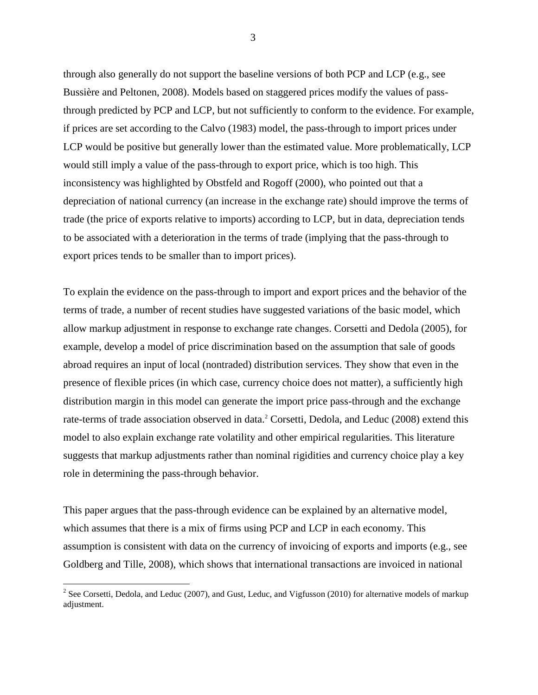through also generally do not support the baseline versions of both PCP and LCP (e.g., see Bussière and Peltonen, 2008). Models based on staggered prices modify the values of passthrough predicted by PCP and LCP, but not sufficiently to conform to the evidence. For example, if prices are set according to the Calvo (1983) model, the pass-through to import prices under LCP would be positive but generally lower than the estimated value. More problematically, LCP would still imply a value of the pass-through to export price, which is too high. This inconsistency was highlighted by Obstfeld and Rogoff (2000), who pointed out that a depreciation of national currency (an increase in the exchange rate) should improve the terms of trade (the price of exports relative to imports) according to LCP, but in data, depreciation tends to be associated with a deterioration in the terms of trade (implying that the pass-through to export prices tends to be smaller than to import prices).

To explain the evidence on the pass-through to import and export prices and the behavior of the terms of trade, a number of recent studies have suggested variations of the basic model, which allow markup adjustment in response to exchange rate changes. Corsetti and Dedola (2005), for example, develop a model of price discrimination based on the assumption that sale of goods abroad requires an input of local (nontraded) distribution services. They show that even in the presence of flexible prices (in which case, currency choice does not matter), a sufficiently high distribution margin in this model can generate the import price pass-through and the exchange rate-terms of trade association observed in data.<sup>2</sup> Corsetti, Dedola, and Leduc (2008) extend this model to also explain exchange rate volatility and other empirical regularities. This literature suggests that markup adjustments rather than nominal rigidities and currency choice play a key role in determining the pass-through behavior.

This paper argues that the pass-through evidence can be explained by an alternative model, which assumes that there is a mix of firms using PCP and LCP in each economy. This assumption is consistent with data on the currency of invoicing of exports and imports (e.g., see Goldberg and Tille, 2008), which shows that international transactions are invoiced in national

<sup>&</sup>lt;sup>2</sup> See Corsetti, Dedola, and Leduc (2007), and Gust, Leduc, and Vigfusson (2010) for alternative models of markup adjustment.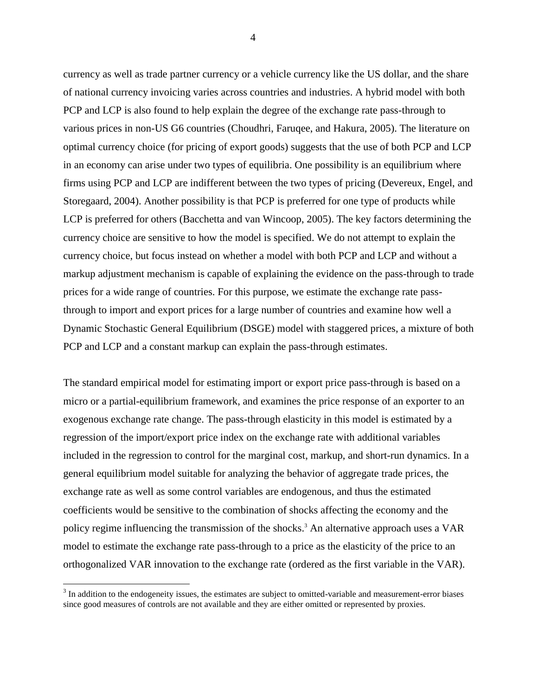currency as well as trade partner currency or a vehicle currency like the US dollar, and the share of national currency invoicing varies across countries and industries. A hybrid model with both PCP and LCP is also found to help explain the degree of the exchange rate pass-through to various prices in non-US G6 countries (Choudhri, Faruqee, and Hakura, 2005). The literature on optimal currency choice (for pricing of export goods) suggests that the use of both PCP and LCP in an economy can arise under two types of equilibria. One possibility is an equilibrium where firms using PCP and LCP are indifferent between the two types of pricing (Devereux, Engel, and Storegaard, 2004). Another possibility is that PCP is preferred for one type of products while LCP is preferred for others (Bacchetta and van Wincoop, 2005). The key factors determining the currency choice are sensitive to how the model is specified. We do not attempt to explain the currency choice, but focus instead on whether a model with both PCP and LCP and without a markup adjustment mechanism is capable of explaining the evidence on the pass-through to trade prices for a wide range of countries. For this purpose, we estimate the exchange rate passthrough to import and export prices for a large number of countries and examine how well a Dynamic Stochastic General Equilibrium (DSGE) model with staggered prices, a mixture of both PCP and LCP and a constant markup can explain the pass-through estimates.

The standard empirical model for estimating import or export price pass-through is based on a micro or a partial-equilibrium framework, and examines the price response of an exporter to an exogenous exchange rate change. The pass-through elasticity in this model is estimated by a regression of the import/export price index on the exchange rate with additional variables included in the regression to control for the marginal cost, markup, and short-run dynamics. In a general equilibrium model suitable for analyzing the behavior of aggregate trade prices, the exchange rate as well as some control variables are endogenous, and thus the estimated coefficients would be sensitive to the combination of shocks affecting the economy and the policy regime influencing the transmission of the shocks.<sup>3</sup> An alternative approach uses a VAR model to estimate the exchange rate pass-through to a price as the elasticity of the price to an orthogonalized VAR innovation to the exchange rate (ordered as the first variable in the VAR).

 $\overline{a}$ 

4

 $3$  In addition to the endogeneity issues, the estimates are subject to omitted-variable and measurement-error biases since good measures of controls are not available and they are either omitted or represented by proxies.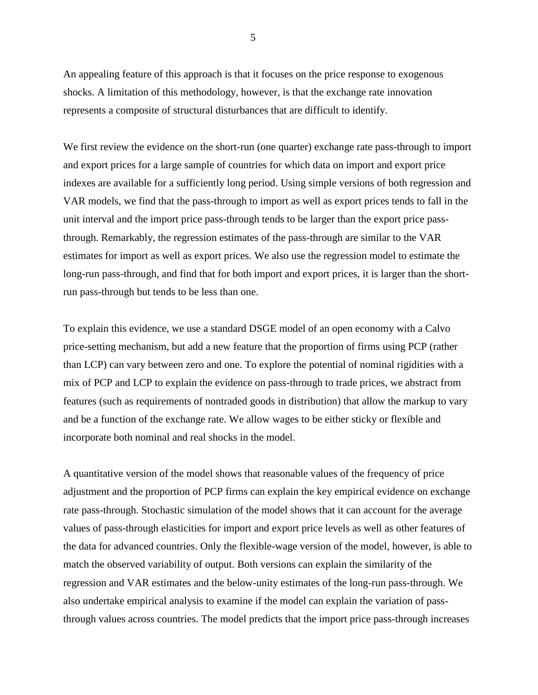An appealing feature of this approach is that it focuses on the price response to exogenous shocks. A limitation of this methodology, however, is that the exchange rate innovation represents a composite of structural disturbances that are difficult to identify.

We first review the evidence on the short-run (one quarter) exchange rate pass-through to import and export prices for a large sample of countries for which data on import and export price indexes are available for a sufficiently long period. Using simple versions of both regression and VAR models, we find that the pass-through to import as well as export prices tends to fall in the unit interval and the import price pass-through tends to be larger than the export price passthrough. Remarkably, the regression estimates of the pass-through are similar to the VAR estimates for import as well as export prices. We also use the regression model to estimate the long-run pass-through, and find that for both import and export prices, it is larger than the shortrun pass-through but tends to be less than one.

To explain this evidence, we use a standard DSGE model of an open economy with a Calvo price-setting mechanism, but add a new feature that the proportion of firms using PCP (rather than LCP) can vary between zero and one. To explore the potential of nominal rigidities with a mix of PCP and LCP to explain the evidence on pass-through to trade prices, we abstract from features (such as requirements of nontraded goods in distribution) that allow the markup to vary and be a function of the exchange rate. We allow wages to be either sticky or flexible and incorporate both nominal and real shocks in the model.

A quantitative version of the model shows that reasonable values of the frequency of price adjustment and the proportion of PCP firms can explain the key empirical evidence on exchange rate pass-through. Stochastic simulation of the model shows that it can account for the average values of pass-through elasticities for import and export price levels as well as other features of the data for advanced countries. Only the flexible-wage version of the model, however, is able to match the observed variability of output. Both versions can explain the similarity of the regression and VAR estimates and the below-unity estimates of the long-run pass-through. We also undertake empirical analysis to examine if the model can explain the variation of passthrough values across countries. The model predicts that the import price pass-through increases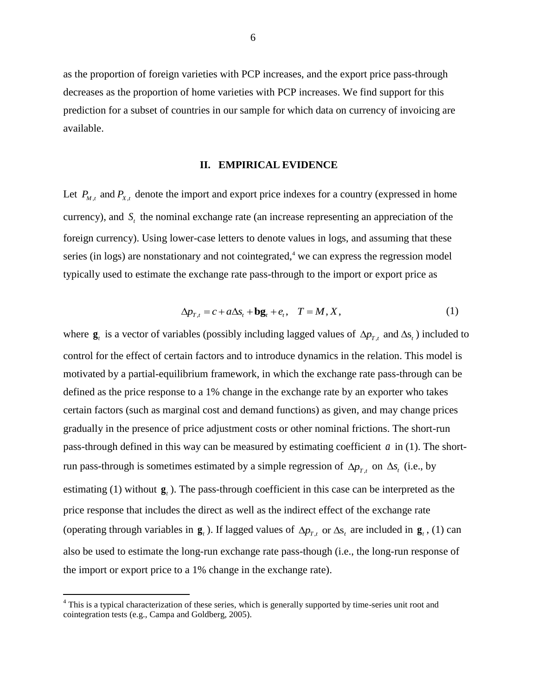as the proportion of foreign varieties with PCP increases, and the export price pass-through decreases as the proportion of home varieties with PCP increases. We find support for this prediction for a subset of countries in our sample for which data on currency of invoicing are available.

#### **II. EMPIRICAL EVIDENCE**

Let  $P_{M,t}$  and  $P_{X,t}$  denote the import and export price indexes for a country (expressed in home currency), and  $S<sub>t</sub>$  the nominal exchange rate (an increase representing an appreciation of the foreign currency). Using lower-case letters to denote values in logs, and assuming that these series (in logs) are nonstationary and not cointegrated, $4 \le$  we can express the regression model typically used to estimate the exchange rate pass-through to the import or export price as

$$
\Delta p_{T,t} = c + a \Delta s_t + \mathbf{b} \mathbf{g}_t + e_t, \quad T = M, X,
$$
\n(1)

where  $g_t$  is a vector of variables (possibly including lagged values of  $\Delta p_{T,t}$  and  $\Delta s_t$ ) included to control for the effect of certain factors and to introduce dynamics in the relation. This model is motivated by a partial-equilibrium framework, in which the exchange rate pass-through can be defined as the price response to a 1% change in the exchange rate by an exporter who takes certain factors (such as marginal cost and demand functions) as given, and may change prices gradually in the presence of price adjustment costs or other nominal frictions. The short-run pass-through defined in this way can be measured by estimating coefficient a in (1). The shortrun pass-through is sometimes estimated by a simple regression of  $\Delta p_{T,t}$  on  $\Delta s_t$  (i.e., by estimating (1) without  $\mathbf{g}_t$ ). The pass-through coefficient in this case can be interpreted as the price response that includes the direct as well as the indirect effect of the exchange rate (operating through variables in  $\mathbf{g}_t$ ). If lagged values of  $\Delta p_{T,t}$  or  $\Delta s_t$  are included in  $\mathbf{g}_t$ , (1) can also be used to estimate the long-run exchange rate pass-though (i.e., the long-run response of the import or export price to a 1% change in the exchange rate).

<sup>&</sup>lt;sup>4</sup> This is a typical characterization of these series, which is generally supported by time-series unit root and cointegration tests (e.g., Campa and Goldberg, 2005).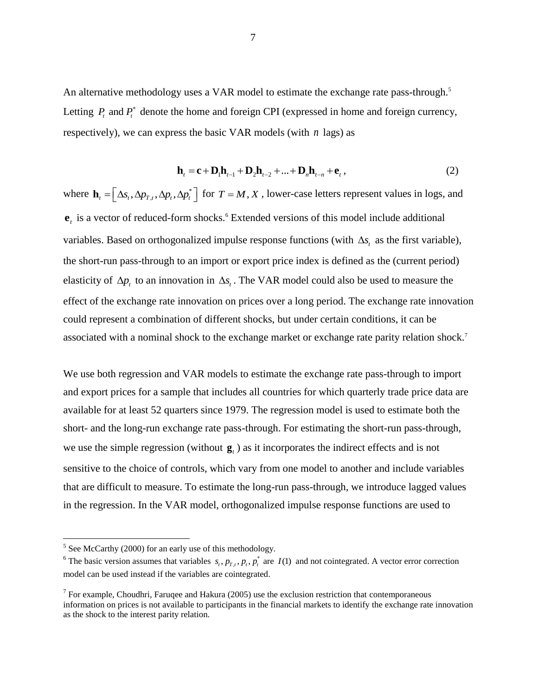An alternative methodology uses a VAR model to estimate the exchange rate pass-through.<sup>5</sup> Letting  $P_t$  and  $P_t^*$  denote the home and foreign CPI (expressed in home and foreign currency, respectively), we can express the basic VAR models (with *n* lags) as

$$
\mathbf{h}_{t} = \mathbf{c} + \mathbf{D}_{1}\mathbf{h}_{t-1} + \mathbf{D}_{2}\mathbf{h}_{t-2} + \dots + \mathbf{D}_{n}\mathbf{h}_{t-n} + \mathbf{e}_{t},
$$
\n(2)

where  $\mathbf{h}_{i} = \left[ \Delta s_{i}, \Delta p_{\tau i}, \Delta p_{i}, \Delta p_{i} \right]$  $\mathbf{h}_t = \left[ \Delta s_t, \Delta p_{t,t}, \Delta p_t, \Delta p_t^* \right]$  for  $T = M, X$ , lower-case letters represent values in logs, and  $e_i$  is a vector of reduced-form shocks.<sup>6</sup> Extended versions of this model include additional variables. Based on orthogonalized impulse response functions (with  $\Delta s$ , as the first variable), the short-run pass-through to an import or export price index is defined as the (current period) elasticity of  $\Delta p_t$  to an innovation in  $\Delta s_t$ . The VAR model could also be used to measure the effect of the exchange rate innovation on prices over a long period. The exchange rate innovation could represent a combination of different shocks, but under certain conditions, it can be associated with a nominal shock to the exchange market or exchange rate parity relation shock.<sup>7</sup>

We use both regression and VAR models to estimate the exchange rate pass-through to import and export prices for a sample that includes all countries for which quarterly trade price data are available for at least 52 quarters since 1979. The regression model is used to estimate both the short- and the long-run exchange rate pass-through. For estimating the short-run pass-through, we use the simple regression (without  $\mathbf{g}_t$ ) as it incorporates the indirect effects and is not sensitive to the choice of controls, which vary from one model to another and include variables that are difficult to measure. To estimate the long-run pass-through, we introduce lagged values in the regression. In the VAR model, orthogonalized impulse response functions are used to

<sup>&</sup>lt;sup>5</sup> See McCarthy (2000) for an early use of this methodology.

<sup>&</sup>lt;sup>6</sup> The basic version assumes that variables  $s_t$ ,  $p_t$ ,  $p_t$ ,  $p_t^*$  are  $I(1)$  and not cointegrated. A vector error correction model can be used instead if the variables are cointegrated.

<sup>&</sup>lt;sup>7</sup> For example, Choudhri, Faruqee and Hakura (2005) use the exclusion restriction that contemporaneous information on prices is not available to participants in the financial markets to identify the exchange rate innovation as the shock to the interest parity relation.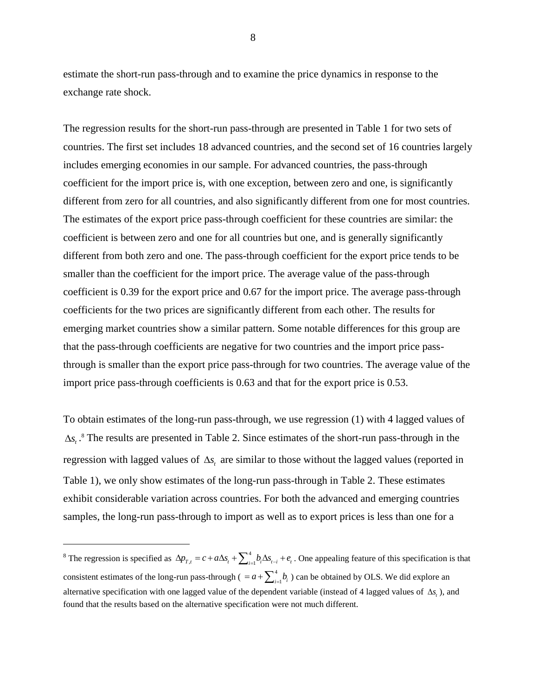estimate the short-run pass-through and to examine the price dynamics in response to the exchange rate shock.

The regression results for the short-run pass-through are presented in Table 1 for two sets of countries. The first set includes 18 advanced countries, and the second set of 16 countries largely includes emerging economies in our sample. For advanced countries, the pass-through coefficient for the import price is, with one exception, between zero and one, is significantly different from zero for all countries, and also significantly different from one for most countries. The estimates of the export price pass-through coefficient for these countries are similar: the coefficient is between zero and one for all countries but one, and is generally significantly different from both zero and one. The pass-through coefficient for the export price tends to be smaller than the coefficient for the import price. The average value of the pass-through coefficient is 0.39 for the export price and 0.67 for the import price. The average pass-through coefficients for the two prices are significantly different from each other. The results for emerging market countries show a similar pattern. Some notable differences for this group are that the pass-through coefficients are negative for two countries and the import price passthrough is smaller than the export price pass-through for two countries. The average value of the import price pass-through coefficients is 0.63 and that for the export price is 0.53.

To obtain estimates of the long-run pass-through, we use regression (1) with 4 lagged values of  $\Delta s_t$ .<sup>8</sup> The results are presented in Table 2. Since estimates of the short-run pass-through in the regression with lagged values of  $\Delta s$ , are similar to those without the lagged values (reported in Table 1), we only show estimates of the long-run pass-through in Table 2. These estimates exhibit considerable variation across countries. For both the advanced and emerging countries samples, the long-run pass-through to import as well as to export prices is less than one for a

 $\overline{a}$ 

8

<sup>&</sup>lt;sup>8</sup> The regression is specified as  $\Delta p_{T,t} = c + a\Delta s_t + \sum_{i=1}^{4} b_i \Delta s_{t-i} + e_t$ . One appealing feature of this specification is that consistent estimates of the long-run pass-through ( =  $a + \sum_{i=1}^{4} a_i$  $= a + \sum_{i=1}^{4} b_i$ ) can be obtained by OLS. We did explore an alternative specification with one lagged value of the dependent variable (instead of 4 lagged values of  $\Delta s_t$ ), and found that the results based on the alternative specification were not much different.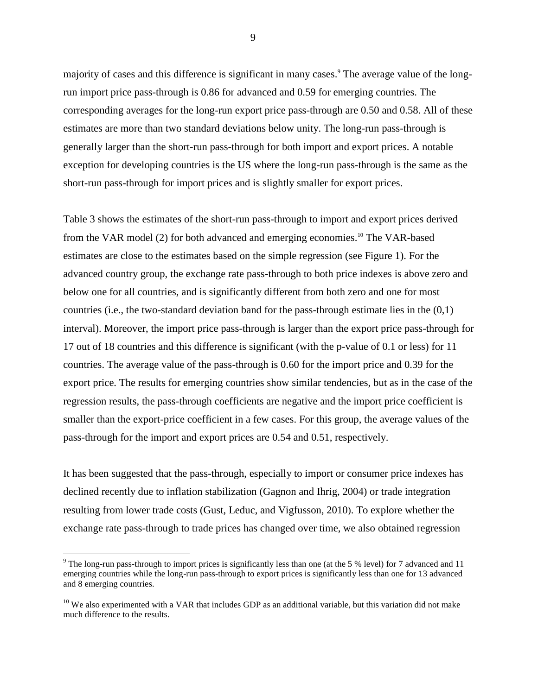majority of cases and this difference is significant in many cases.<sup>9</sup> The average value of the longrun import price pass-through is 0.86 for advanced and 0.59 for emerging countries. The corresponding averages for the long-run export price pass-through are 0.50 and 0.58. All of these estimates are more than two standard deviations below unity. The long-run pass-through is generally larger than the short-run pass-through for both import and export prices. A notable exception for developing countries is the US where the long-run pass-through is the same as the short-run pass-through for import prices and is slightly smaller for export prices.

Table 3 shows the estimates of the short-run pass-through to import and export prices derived from the VAR model (2) for both advanced and emerging economies. <sup>10</sup> The VAR-based estimates are close to the estimates based on the simple regression (see Figure 1). For the advanced country group, the exchange rate pass-through to both price indexes is above zero and below one for all countries, and is significantly different from both zero and one for most countries (i.e., the two-standard deviation band for the pass-through estimate lies in the  $(0,1)$ ) interval). Moreover, the import price pass-through is larger than the export price pass-through for 17 out of 18 countries and this difference is significant (with the p-value of 0.1 or less) for 11 countries. The average value of the pass-through is 0.60 for the import price and 0.39 for the export price. The results for emerging countries show similar tendencies, but as in the case of the regression results, the pass-through coefficients are negative and the import price coefficient is smaller than the export-price coefficient in a few cases. For this group, the average values of the pass-through for the import and export prices are 0.54 and 0.51, respectively.

It has been suggested that the pass-through, especially to import or consumer price indexes has declined recently due to inflation stabilization (Gagnon and Ihrig, 2004) or trade integration resulting from lower trade costs (Gust, Leduc, and Vigfusson, 2010). To explore whether the exchange rate pass-through to trade prices has changed over time, we also obtained regression

 $\overline{a}$ 

9

<sup>&</sup>lt;sup>9</sup> The long-run pass-through to import prices is significantly less than one (at the 5 % level) for 7 advanced and 11 emerging countries while the long-run pass-through to export prices is significantly less than one for 13 advanced and 8 emerging countries.

 $10$  We also experimented with a VAR that includes GDP as an additional variable, but this variation did not make much difference to the results.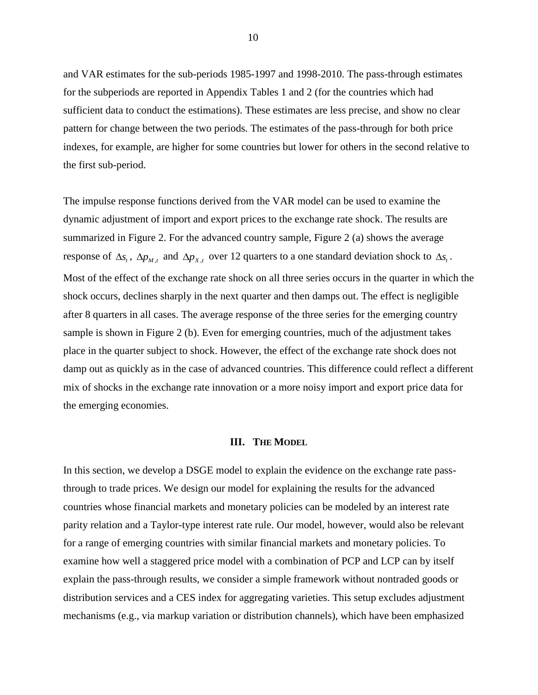and VAR estimates for the sub-periods 1985-1997 and 1998-2010. The pass-through estimates for the subperiods are reported in Appendix Tables 1 and 2 (for the countries which had sufficient data to conduct the estimations). These estimates are less precise, and show no clear pattern for change between the two periods. The estimates of the pass-through for both price indexes, for example, are higher for some countries but lower for others in the second relative to the first sub-period.

The impulse response functions derived from the VAR model can be used to examine the dynamic adjustment of import and export prices to the exchange rate shock. The results are summarized in Figure 2. For the advanced country sample, Figure 2 (a) shows the average response of  $\Delta s_t$ ,  $\Delta p_{M,t}$  and  $\Delta p_{X,t}$  over 12 quarters to a one standard deviation shock to  $\Delta s_t$ . Most of the effect of the exchange rate shock on all three series occurs in the quarter in which the shock occurs, declines sharply in the next quarter and then damps out. The effect is negligible after 8 quarters in all cases. The average response of the three series for the emerging country sample is shown in Figure 2 (b). Even for emerging countries, much of the adjustment takes place in the quarter subject to shock. However, the effect of the exchange rate shock does not damp out as quickly as in the case of advanced countries. This difference could reflect a different mix of shocks in the exchange rate innovation or a more noisy import and export price data for the emerging economies.

#### **III. THE MODEL**

In this section, we develop a DSGE model to explain the evidence on the exchange rate passthrough to trade prices. We design our model for explaining the results for the advanced countries whose financial markets and monetary policies can be modeled by an interest rate parity relation and a Taylor-type interest rate rule. Our model, however, would also be relevant for a range of emerging countries with similar financial markets and monetary policies. To examine how well a staggered price model with a combination of PCP and LCP can by itself explain the pass-through results, we consider a simple framework without nontraded goods or distribution services and a CES index for aggregating varieties. This setup excludes adjustment mechanisms (e.g., via markup variation or distribution channels), which have been emphasized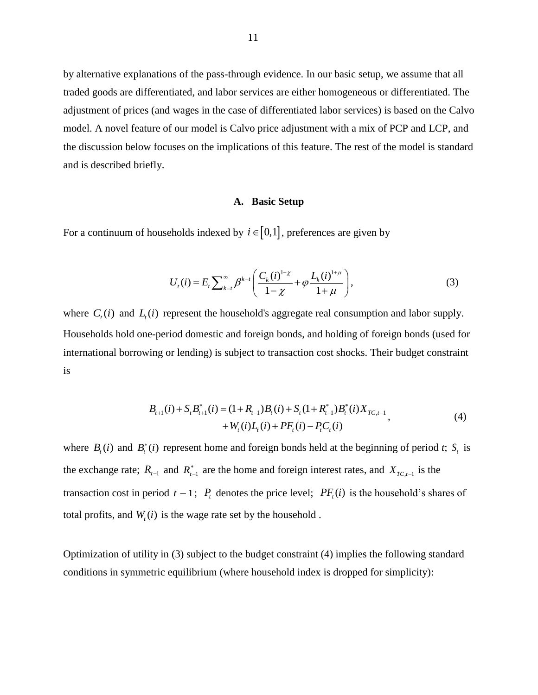by alternative explanations of the pass-through evidence. In our basic setup, we assume that all traded goods are differentiated, and labor services are either homogeneous or differentiated. The adjustment of prices (and wages in the case of differentiated labor services) is based on the Calvo model. A novel feature of our model is Calvo price adjustment with a mix of PCP and LCP, and the discussion below focuses on the implications of this feature. The rest of the model is standard and is described briefly.

#### **A. Basic Setup**

For a continuum of households indexed by  $i \in [0,1]$ , preferences are given by

$$
U_{t}(i) = E_{t} \sum_{k=t}^{\infty} \beta^{k-t} \left( \frac{C_{k}(i)^{1-\chi}}{1-\chi} + \varphi \frac{L_{k}(i)^{1+\mu}}{1+\mu} \right),
$$
\n(3)

where  $C_t(i)$  and  $L_i(i)$  represent the household's aggregate real consumption and labor supply. Households hold one-period domestic and foreign bonds, and holding of foreign bonds (used for international borrowing or lending) is subject to transaction cost shocks. Their budget constraint is

$$
B_{t+1}(i) + S_t B_{t+1}^*(i) = (1 + R_{t-1})B_t(i) + S_t (1 + R_{t-1}^*)B_t^*(i) X_{TC, t-1} + W_t(i) L_t(i) + PF_t(i) - P_t C_t(i)
$$
\n(4)

where  $B_t(i)$  and  $B_t^*(i)$  represent home and foreign bonds held at the beginning of period *t*;  $S_t$  is the exchange rate;  $R_{t-1}$  and  $R_{t-1}^*$  are the home and foreign interest rates, and  $X_{TC,t-1}$  is the transaction cost in period  $t - 1$ ;  $P_t$  denotes the price level;  $PF_t(i)$  is the household's shares of total profits, and  $W_t(i)$  is the wage rate set by the household.

Optimization of utility in (3) subject to the budget constraint (4) implies the following standard conditions in symmetric equilibrium (where household index is dropped for simplicity):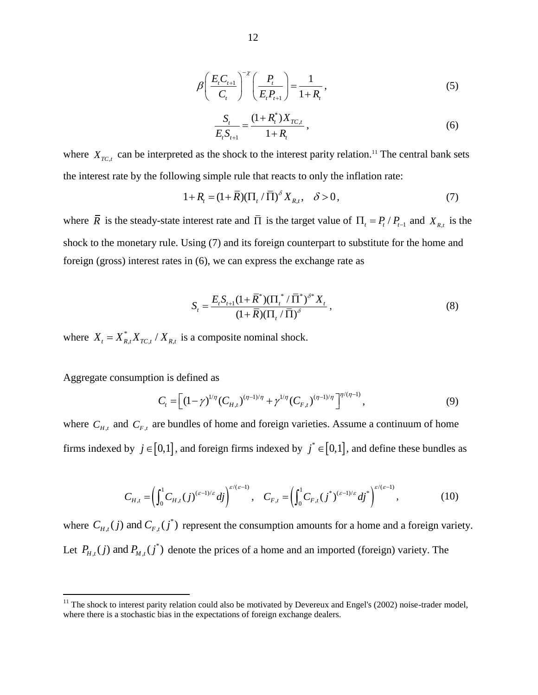$$
\beta \left( \frac{E_{t} C_{t+1}}{C_{t}} \right)^{-\chi} \left( \frac{P_{t}}{E_{t} P_{t+1}} \right) = \frac{1}{1 + R_{t}},
$$
\n(5)

$$
\frac{S_t}{E_t S_{t+1}} = \frac{(1 + R_t^*) X_{TC,t}}{1 + R_t},
$$
\n(6)

where  $X_{TC,t}$  can be interpreted as the shock to the interest parity relation.<sup>11</sup> The central bank sets the interest rate by the following simple rule that reacts to only the inflation rate:

$$
1 + R_t = (1 + \overline{R})(\Pi_t / \overline{\Pi})^{\delta} X_{R,t}, \quad \delta > 0,
$$
 (7)

where  $\overline{R}$  is the steady-state interest rate and  $\overline{\Pi}$  is the target value of  $\Pi_t = P_t / P_{t-1}$  and  $X_{R,t}$  is the shock to the monetary rule. Using (7) and its foreign counterpart to substitute for the home and foreign (gross) interest rates in (6), we can express the exchange rate as

$$
S_{t} = \frac{E_{t} S_{t+1} (1 + \overline{R}^{*}) (\Pi_{t}^{*} / \overline{\Pi}^{*})^{\delta^{*}} X_{t}}{(1 + \overline{R})(\Pi_{t} / \overline{\Pi})^{\delta}},
$$
\n(8)

where  $X_t = X_{R,t}^* X_{TC,t} / X_{R,t}$  is a composite nominal shock.

Aggregate consumption is defined as

 $\overline{a}$ 

on is defined as  
\n
$$
C_{t} = \left[ (1 - \gamma)^{1/\eta} (C_{H,t})^{(\eta - 1)/\eta} + \gamma^{1/\eta} (C_{F,t})^{(\eta - 1)/\eta} \right]^{\eta/(\eta - 1)},
$$
\n(9)

where  $C_{H,t}$  and  $C_{F,t}$  are bundles of home and foreign varieties. Assume a continuum of home

forms indexed by 
$$
j \in [0,1]
$$
, and foreign firms indexed by  $j^* \in [0,1]$ , and define these bundles as

\n
$$
C_{H,t} = \left(\int_0^1 C_{H,t}(j)^{(\varepsilon-1)/\varepsilon} dj\right)^{\varepsilon/(\varepsilon-1)}, \quad C_{F,t} = \left(\int_0^1 C_{F,t}(j^*)^{(\varepsilon-1)/\varepsilon} dj\right)^{\varepsilon/(\varepsilon-1)}, \quad (10)
$$

where  $C_{H,t}(j)$  and  $C_{F,t}(j^*)$  represent the consumption amounts for a home and a foreign variety. Let  $P_{H,t}(j)$  and  $P_{M,t}(j^*)$  denote the prices of a home and an imported (foreign) variety. The

 $11$  The shock to interest parity relation could also be motivated by Devereux and Engel's (2002) noise-trader model, where there is a stochastic bias in the expectations of foreign exchange dealers.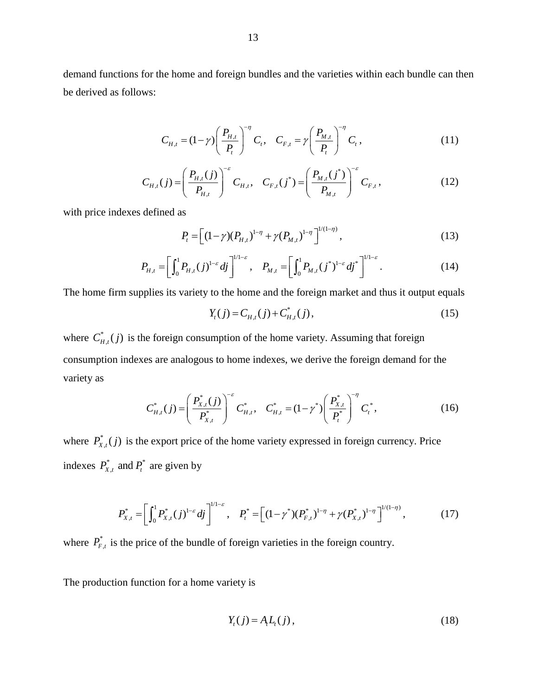demand functions for the home and foreign bundles and the varieties within each bundle can then be derived as follows:

$$
C_{H,t} = (1 - \gamma) \left(\frac{P_{H,t}}{P_t}\right)^{-\eta} C_t, \quad C_{F,t} = \gamma \left(\frac{P_{M,t}}{P_t}\right)^{-\eta} C_t,
$$
\n(11)

$$
C_{H,t}(j) = \left(\frac{P_{H,t}(j)}{P_{H,t}}\right)^{-\varepsilon} C_{H,t}, \quad C_{F,t}(j^*) = \left(\frac{P_{M,t}(j^*)}{P_{M,t}}\right)^{-\varepsilon} C_{F,t}, \tag{12}
$$

with price indexes defined as

$$
P_{t} = \left[ (1 - \gamma)(P_{H,t})^{1-\eta} + \gamma (P_{M,t})^{1-\eta} \right]^{1/(1-\eta)},
$$
\n(13)

$$
P_{t} = \left[ (1 - \gamma)(P_{H,t})^{1-\eta} + \gamma (P_{M,t})^{1-\eta} \right]^{1/(1-\eta)},
$$
\n
$$
P_{H,t} = \left[ \int_{0}^{1} P_{H,t}(j)^{1-\varepsilon} dj \right]^{1/1-\varepsilon}, \quad P_{M,t} = \left[ \int_{0}^{1} P_{M,t}(j^{*})^{1-\varepsilon} dj \right]^{1/1-\varepsilon}.
$$
\n(14)

The home firm supplies its variety to the home and the foreign market and thus it output equals

$$
Y_{t}(j) = C_{H,t}(j) + C_{H,t}^{*}(j),
$$
\n(15)

where  $C_{\mu}^*$  $C_{H,t}^*(j)$  is the foreign consumption of the home variety. Assuming that foreign consumption indexes are analogous to home indexes, we derive the foreign demand for the variety as

$$
C_{H,t}^*(j) = \left(\frac{P_{X,t}^*(j)}{P_{X,t}^*}\right)^{-\varepsilon} C_{H,t}^*, \quad C_{H,t}^* = (1 - \gamma^*) \left(\frac{P_{X,t}^*}{P_t^*}\right)^{-\eta} C_t^*,
$$
\n(16)

where  $P_{x}^{*}$  $P_{X,t}^*(j)$  is the export price of the home variety expressed in foreign currency. Price indexes  $P_{X_t}^*$  and  $P_t^*$  $P_{X,t}^*$  and  $P_t^*$  are given by

$$
P_{X,t}^{*} = \left[\int_{0}^{1} P_{X,t}^{*}(j)^{1-\varepsilon} dj\right]^{1/1-\varepsilon}, \quad P_{t}^{*} = \left[(1-\gamma^{*})(P_{F,t}^{*})^{1-\eta} + \gamma (P_{X,t}^{*})^{1-\eta}\right]^{1/(1-\eta)}, \quad (17)
$$

where  $P_{F,t}^*$  is the price of the bundle of foreign varieties in the foreign country.

The production function for a home variety is

$$
Y_t(j) = A_t L_t(j),
$$
\n(18)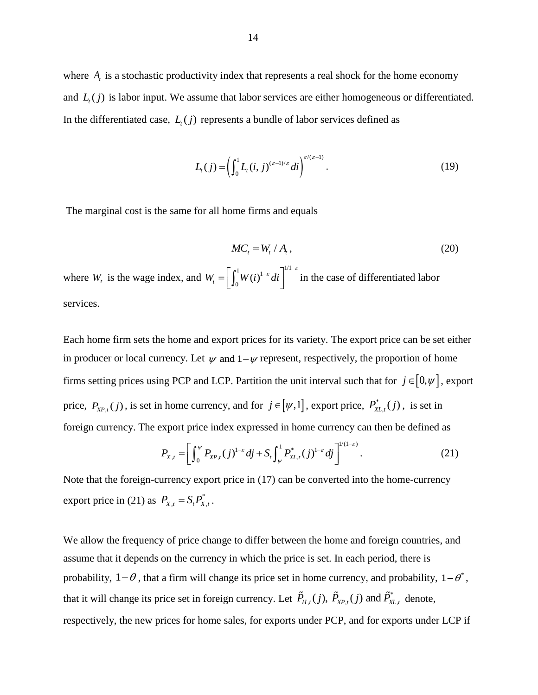where  $A<sub>t</sub>$  is a stochastic productivity index that represents a real shock for the home economy and  $L_i(j)$  is labor input. We assume that labor services are either homogeneous or differentiated. In the differentiated case,  $L_i(j)$  represents a bundle of labor services defined as

$$
L_{t}(j) = \left(\int_0^1 L_{t}(i,j)^{(\varepsilon-1)/\varepsilon} di\right)^{\varepsilon/(\varepsilon-1)}.\tag{19}
$$

The marginal cost is the same for all home firms and equals

$$
MC_t = W_t / A_t, \qquad (20)
$$

where  $W_t$  is the wage index, and  $\left[\frac{1}{W(\cdot)}\right]^{-\varepsilon}$  di  $W_t = \left[ \int_0^1 W(t)^{1-\epsilon} dt \right]^{1/1-\epsilon}$  in the case of differentiated labor services.

Each home firm sets the home and export prices for its variety. The export price can be set either in producer or local currency. Let  $\psi$  and  $1-\psi$  represent, respectively, the proportion of home firms setting prices using PCP and LCP. Partition the unit interval such that for  $j \in [0, \psi]$ , export price,  $P_{XP,t}(j)$ , is set in home currency, and for  $j \in [\psi,1]$ , export price,  $P_X^*$  $P^*_{\mathsf{XL},t}(j)$ , is set in

foreign currency. The export price index expressed in home currency can then be defined as\n
$$
P_{X,t} = \left[ \int_0^{\psi} P_{X P,t}(j)^{1-\varepsilon} dj + S_t \int_{\psi}^1 P_{X L,t}^*(j)^{1-\varepsilon} dj \right]^{1/(1-\varepsilon)}.
$$
\n(21)

Note that the foreign-currency export price in (17) can be converted into the home-currency export price in (21) as  $P_{X,t} = S_t P_{X,t}^*$ .

We allow the frequency of price change to differ between the home and foreign countries, and assume that it depends on the currency in which the price is set. In each period, there is probability,  $1-\theta$ , that a firm will change its price set in home currency, and probability,  $1-\theta^*$ , that it will change its price set in foreign currency. Let  $\tilde{P}_{H,t}(j)$ ,  $\tilde{P}_{XP,t}(j)$  and  $\tilde{P}_{XL,t}^*$  denote, respectively, the new prices for home sales, for exports under PCP, and for exports under LCP if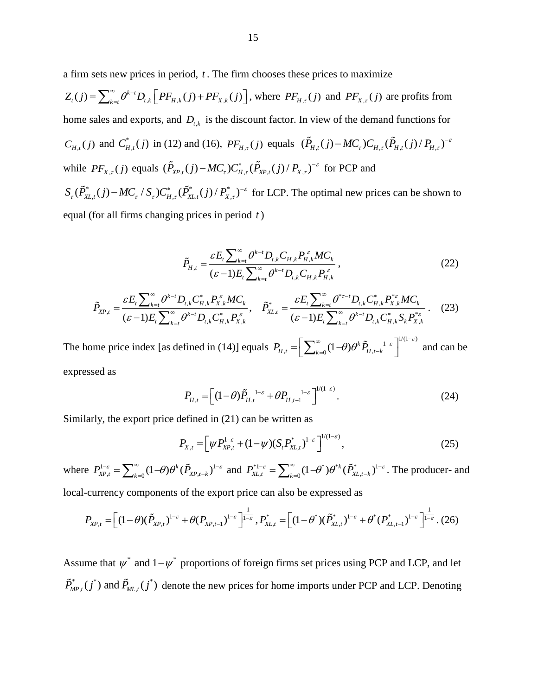a firm sets new prices in period, *t* . The firm chooses these prices to maximize

 $Z_{t}(j) = \sum_{k=t}^{\infty} \theta^{k-t} D_{t,k} \left[ PF_{H,k}(j) + PF_{X,k}(j) \right]$  $\infty$   $\alpha^{k-1}$ sets new prices in period, t. The firm choos<br>=  $\sum_{k=t}^{\infty} \theta^{k-t} D_{t,k} \left[ PF_{H,k}(j) + PF_{X,k}(j) \right]$ , wher , where  $PF_{H,\tau}(j)$  and  $PF_{X,\tau}(j)$  are profits from home sales and exports, and  $D_{t,k}$  is the discount factor. In view of the demand functions for  $C_{H,t}(j)$  and  $C_{H}^*$  $C_{H,t}^*(j)$  in (12) and (16),  $PF_{H,\tau}(j)$  equals  $(\tilde{P}_{H,t}(j) - MC_{\tau})C_{H,\tau}(\tilde{P}_{H,t}(j) / P_{H,\tau})$  $-MC_{_{\tau}})C_{_{H,\tau}}(\tilde{P}_{_{H,t}}(j)\,/\,P_{_{H,\tau}})^{-\varepsilon}$ while  $PF_{X,\tau}(j)$  equals  $(\tilde{P}_{XP,t}(j) - MC_{\tau})C_{H,\tau}^*(\tilde{P}_{XP,t}(j) / P_{X,\tau})$  $(\tilde{P}_{_{\mathcal{I}},\tau})C_{H,\tau}^*(\tilde{P}_{_{X P,t}}(j)\,/\,P_{_{X,\tau}})^{-\varepsilon}$  $-MC_r)C_{H_r}^*(\tilde{P}_{XP_t}(j)/P_{X_r})^{-\varepsilon}$  for PCP and \* (i) – MC / S ) $C^*$  ( $\tilde{P}^*$  (i) /  $P^*$ while  $\sum_{X,Y} (f)$  equals  $\sum_{X,Y,t} (f)$   $\sum_{Y} (F_{X,L,t}^*(f) - MC_{\tau}/S_{\tau}) C_{H,\tau}^*(\tilde{P}_{X,L,t}^*(f) / P_{X,\tau}^*)^{-\varepsilon}$  $-MC_r/S_rC_{H_r}^*(\tilde{P}_{XL}^*(j)/P_{X_r}^*)^{-\epsilon}$  for LCP. The optimal new prices can be shown to equal (for all firms changing prices in period *t* )

$$
\tilde{P}_{H,t} = \frac{\varepsilon E_t \sum_{k=t}^{\infty} \theta^{k-t} D_{t,k} C_{H,k} P_{H,k}^{\varepsilon} MC_k}{(\varepsilon - 1) E_t \sum_{k=t}^{\infty} \theta^{k-t} D_{t,k} C_{H,k} P_{H,k}^{\varepsilon}},
$$
\n
$$
\frac{\varepsilon E_t \sum_{k=t}^{\infty} \theta^{k-t} D_{t,k} C_{H,k}^* P_{X,k}^{\varepsilon} MC_k}{(\varepsilon - 1) E \sum_{k=t}^{\infty} \theta^{k-t} D_{t,k} C_{H,k}^* P_{X,k}^{\varepsilon} MC_k}, \quad \tilde{P}_{X L,t}^* = \frac{\varepsilon E_t \sum_{k=t}^{\infty} \theta^{k-t} D_{t,k} C_{H,k}^* P_{X,k}^* MC_k}{(\varepsilon - 1) E \sum_{k=t}^{\infty} \theta^{k-t} D_{t,k} C_{H,k}^* P_{X,k}^*}(23)
$$

$$
\tilde{P}_{H,t} = \frac{\varepsilon E_t \sum_{k=t} \theta^{\kappa - t} D_{t,k} C_{H,k} P_{H,k}^{\varepsilon} MC_k}{(\varepsilon - 1) E_t \sum_{k=t}^{\infty} \theta^{k-t} D_{t,k} C_{H,k} P_{H,k}^{\varepsilon}},
$$
\n(22)\n
$$
\tilde{P}_{XP,t} = \frac{\varepsilon E_t \sum_{k=t}^{\infty} \theta^{k-t} D_{t,k} C_{H,k}^* P_{X,k}^{\varepsilon} MC_k}{(\varepsilon - 1) E_t \sum_{k=t}^{\infty} \theta^{k-t} D_{t,k} C_{H,k}^* P_{X,k}^{\varepsilon}} ,
$$
\n
$$
\tilde{P}_{XL,t}^* = \frac{\varepsilon E_t \sum_{k=t}^{\infty} \theta^{k-t} D_{t,k} C_{H,k}^* P_{X,k}^{\varepsilon} MC_k}{(\varepsilon - 1) E_t \sum_{k=t}^{\infty} \theta^{k-t} D_{t,k} C_{H,k}^* S_k P_{X,k}^{\varepsilon}}.
$$
\n(23)

The home price index [as defined in (14)] equals  $P_{H,t} = \left[ \sum_{k=0}^{\infty} (1-\theta) \theta^k \tilde{P}_{H,t-k}^{\quad 1-\varepsilon} \right]^{1/(1-\varepsilon)}$  $\varepsilon$ <sup>-1/(1- $\varepsilon$ )</sup>  $\sum_{k=0}^{\infty} (1-\theta) \theta^k \tilde{P}_{H,t-k}^{\quad 1-\varepsilon} \Big]^{1/(1-\varepsilon)}$  $=\left[\sum_{k=0}^{\infty}(1-\theta)\theta^{k}\tilde{P}_{H,t-k}^{-1-\varepsilon}\right]^{1/(1-\varepsilon)}$ and can be expressed as

$$
P_{H,t} = \left[ (1-\theta) \tilde{P}_{H,t}^{1-\varepsilon} + \theta P_{H,t-1}^{1-\varepsilon} \right]^{1/(1-\varepsilon)}.
$$
 (24)

Similarly, the export price defined in (21) can be written as

$$
P_{X,t} = \left[ \psi P_{XP,t}^{1-\varepsilon} + (1-\psi)(S_t P_{XL,t}^*)^{1-\varepsilon} \right]^{1/(1-\varepsilon)},
$$
\n(25)

where  $P_{\text{xp}_t}^{1-\varepsilon} = \sum_{n=0}^{\infty} (1-\theta) \theta^k (\tilde{P}_{\text{xp}_t- k})^1$  $P_{XP,t}^{1-\varepsilon} = \sum_{k=0}^{\infty} (1-\theta) \theta^k (\tilde{P}_{XP,t-k})^{1-\varepsilon}$  and  $P_{XL,t}^{*1-\varepsilon} = \sum_{k=0}^{\infty} (1-\theta^*) \theta^{*k} (\tilde{P}_{XL,t-k}^*)^{1-\varepsilon}$  $P_{XL,t}^{*1-\varepsilon} = \sum_{k=0}^{\infty} (1-\theta^*) \theta^{*k} (\tilde{P}_{XL,t-k}^*)^{1-\varepsilon}$ . The producer- and

local-currency components of the export price can also be expressed as  
\n
$$
P_{XP,t} = \left[ (1-\theta)(\tilde{P}_{XP,t})^{1-\epsilon} + \theta(P_{XP,t-1})^{1-\epsilon} \right]^{\frac{1}{1-\epsilon}}, P_{XL,t}^{*} = \left[ (1-\theta^{*})(\tilde{P}_{XL,t}^{*})^{1-\epsilon} + \theta^{*}(P_{XL,t-1}^{*})^{1-\epsilon} \right]^{\frac{1}{1-\epsilon}}.(26)
$$

Assume that  $\psi^*$  and  $1-\psi^*$  proportions of foreign firms set prices using PCP and LCP, and let \*  $(i^*)$  and  $\tilde{D}$   $(i^*)$  $\tilde{P}_{MP,t}^*(j^*)$  and  $\tilde{P}_{ML,t}(j^*)$  denote the new prices for home imports under PCP and LCP. Denoting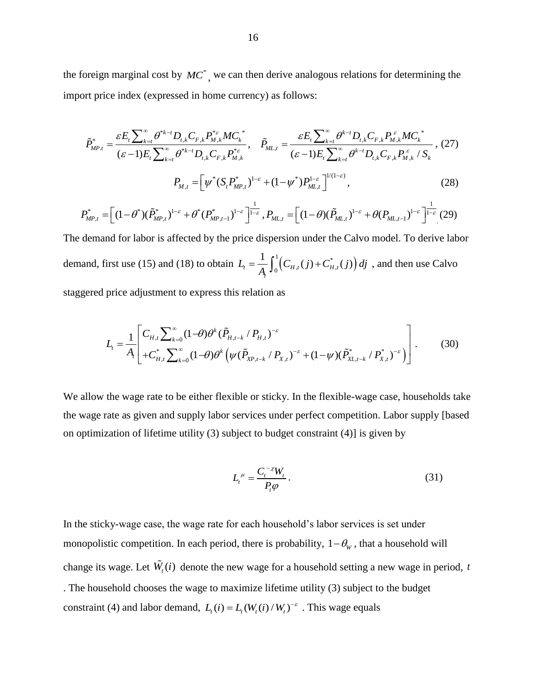the foreign marginal cost by  $MC^*$ , we can then derive analogous relations for determining the<br>
import price index (expressed in home currency) as follows:<br>  $\tilde{P}_{MP,t}^* = \frac{\varepsilon E_t \sum_{k=t}^{\infty} \theta^{*k-t} D_{t,k} C_{F,k} P_{M,k}^{*} MC_k^*}{(\v$ 

import price index (expressed in home currency) as follows:  
\n
$$
\tilde{P}_{MP,t}^* = \frac{\varepsilon E_t \sum_{k=t}^{\infty} \theta^{*k-t} D_{t,k} C_{F,k} P_{M,k}^{*} MC_k^*}{(\varepsilon - 1) E_t \sum_{k=t}^{\infty} \theta^{*k-t} D_{t,k} C_{F,k} P_{M,k}^{*}} , \quad \tilde{P}_{ML,t} = \frac{\varepsilon E_t \sum_{k=t}^{\infty} \theta^{k-t} D_{t,k} C_{F,k} P_{M,k}^{*} MC_k^*}{(\varepsilon - 1) E_t \sum_{k=t}^{\infty} \theta^{k-t} D_{t,k} C_{F,k} P_{M,k}^{*} / S_k^*},
$$
\n
$$
P_{M,t} = \left[ \psi^* (S_t P_{MP,t}^*)^{1-\varepsilon} + (1 - \psi^*) P_{ML,t}^{1-\varepsilon} \right]^{1/(1-\varepsilon)},
$$
\n
$$
P_{MP,t}^* = \left[ (1 - \theta^*) (\tilde{P}_{MP,t}^*)^{1-\varepsilon} + \theta^* (P_{MP,t-1}^*)^{1-\varepsilon} \right]^{1-\varepsilon} , P_{ML,t} = \left[ (1 - \theta)(\tilde{P}_{ML,t})^{1-\varepsilon} + \theta (P_{ML,t-1})^{1-\varepsilon} \right]^{1-\varepsilon} (29)
$$

$$
P_{M,t} = \left[ \psi^*(S_t P_{MP,t}^*)^{1-\varepsilon} + (1-\psi^*) P_{ML,t}^{1-\varepsilon} \right]^{1/(1-\varepsilon)}, \qquad (28)
$$
  

$$
P_{MP,t}^* = \left[ (1-\theta^*)(\tilde{P}_{MP,t}^*)^{1-\varepsilon} + \theta^*(P_{MP,t-1}^*)^{1-\varepsilon} \right]^{1-\varepsilon}, P_{ML,t} = \left[ (1-\theta)(\tilde{P}_{ML,t})^{1-\varepsilon} + \theta(P_{ML,t-1})^{1-\varepsilon} \right]^{1-\varepsilon} (29)
$$

The demand for labor is affected by the price dispersion under the Calvo model. To derive labor demand, first use (15) and (18) to obtain  $L_{t} = \frac{1}{A} \int_{0}^{1} (C_{H,t}(j) + C_{H,t}^{*}(j))$  $\sigma_t = \frac{1}{A_t} \int_0^1 (C_{H,t}(j) + C_{H,t}^*(j))$  $L_{i} = \frac{1}{A_{i}} \int_{0}^{1} (C_{H,t}(j) + C_{H,t}^{*}(j)) \, dj$ , and then use Calvo staggered price adjustment to express this relation as

price adjustment to express this relation as  
\n
$$
L_{t} = \frac{1}{A_{t}} \left[ C_{H,t} \sum_{k=0}^{\infty} (1-\theta) \theta^{k} (\tilde{P}_{H,t-k} / P_{H,t})^{-\varepsilon} + (1-\psi) (\tilde{P}_{XL,t-k}^{*} / P_{X,t})^{-\varepsilon} \right].
$$
\n(30)

We allow the wage rate to be either flexible or sticky. In the flexible-wage case, households take the wage rate as given and supply labor services under perfect competition. Labor supply [based on optimization of lifetime utility (3) subject to budget constraint (4)] is given by

$$
L_t^{\mu} = \frac{C_t^{-\chi} W_t}{P_t \varphi}.
$$
\n(31)

In the sticky-wage case, the wage rate for each household's labor services is set under monopolistic competition. In each period, there is probability,  $1-\theta_w$ , that a household will change its wage. Let  $W_i(i)$  denote the new wage for a household setting a new wage in period, to . The household chooses the wage to maximize lifetime utility (3) subject to the budget constraint (4) and labor demand,  $L_i(i) = L_i (W_i(i) / W_i)^{-\varepsilon}$ . This wage equals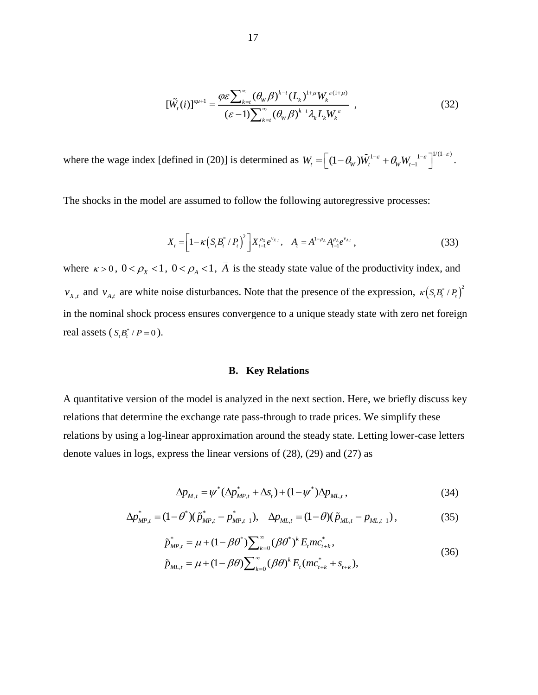$$
\left[\tilde{W}_t(i)\right]^{s\mu+1} = \frac{\varphi \varepsilon \sum_{k=t}^{\infty} (\theta_w \beta)^{k-t} (L_k)^{1+\mu} W_k^{(\varepsilon+1+\mu)}}{(\varepsilon-1) \sum_{k=t}^{\infty} (\theta_w \beta)^{k-t} \lambda_k L_k W_k^{\varepsilon}} \quad , \tag{32}
$$

where the wage index [defined in (20)] is determined as  $W_t = \left[ (1 - \theta_W) \tilde{W}_t^{1-\epsilon} + \theta_W W_{t-1}^{-1-\epsilon} \right]^{1/(1-\epsilon)}$  $\theta_{\scriptscriptstyle W})\tilde{W}^{1-\varepsilon}_{\scriptscriptstyle t}+\theta_{\scriptscriptstyle W}W_{\scriptscriptstyle t-1}^{\quad \ 1-\varepsilon}\Big]^{1/(1-\varepsilon)}$  $=\left[ (1-\theta_{\scriptscriptstyle W}) \tilde{W}_{\scriptscriptstyle t}^{1-\varepsilon} + \theta_{\scriptscriptstyle W} W_{\scriptscriptstyle t-1}^{-1-\varepsilon} \right]^{1/(1-\varepsilon)}$ .

The shocks in the model are assumed to follow the following autoregressive processes:

$$
X_{t} = \left[1 - \kappa \left(S_{t} B_{t}^{*} / P_{t}\right)^{2}\right] X_{t-1}^{\rho_{X}} e^{v_{X,t}}, \quad A_{t} = \overline{A}^{1-\rho_{A}} A_{t-1}^{\rho_{A}} e^{v_{A,t}}, \tag{33}
$$

where  $\kappa > 0$ ,  $0 < \rho_X < 1$ ,  $0 < \rho_A < 1$ ,  $\overline{A}$  is the steady state value of the productivity index, and  $v_{X,t}$  and  $v_{A,t}$  are white noise disturbances. Note that the presence of the expression,  $\kappa (S_t B_t^* / P_t)^2$ in the nominal shock process ensures convergence to a unique steady state with zero net foreign real assets  $(S_t B_t^* / P = 0)$ .

#### **B. Key Relations**

A quantitative version of the model is analyzed in the next section. Here, we briefly discuss key relations that determine the exchange rate pass-through to trade prices. We simplify these relations by using a log-linear approximation around the steady state. Letting lower-case letters denote values in logs, express the linear versions of (28), (29) and (27) as

$$
\Delta p_{M,t} = \psi^* (\Delta p_{MP,t}^* + \Delta s_t) + (1 - \psi^*) \Delta p_{ML,t},
$$
\n(34)

$$
\Delta p_{M,t} = \psi^* (\Delta p_{MP,t}^* + \Delta s_t) + (1 - \psi^*) \Delta p_{ML,t},
$$
\n
$$
\Delta p_{MP,t}^* = (1 - \theta^*) (\tilde{p}_{MP,t}^* - p_{MP,t-1}^*), \quad \Delta p_{ML,t} = (1 - \theta)(\tilde{p}_{ML,t} - p_{ML,t-1}),
$$
\n(35)

$$
(\beta S)
$$
  
\n
$$
\tilde{p}_{MP,t}^* = \mu + (1 - \beta \theta^*) \sum_{k=0}^{\infty} (\beta \theta^*)^k E_t mc_{t+k}^*,
$$
  
\n
$$
\tilde{p}_{ML,t} = \mu + (1 - \beta \theta^*) \sum_{k=0}^{\infty} (\beta \theta^*)^k E_t mc_{t+k}^*,
$$
  
\n(36)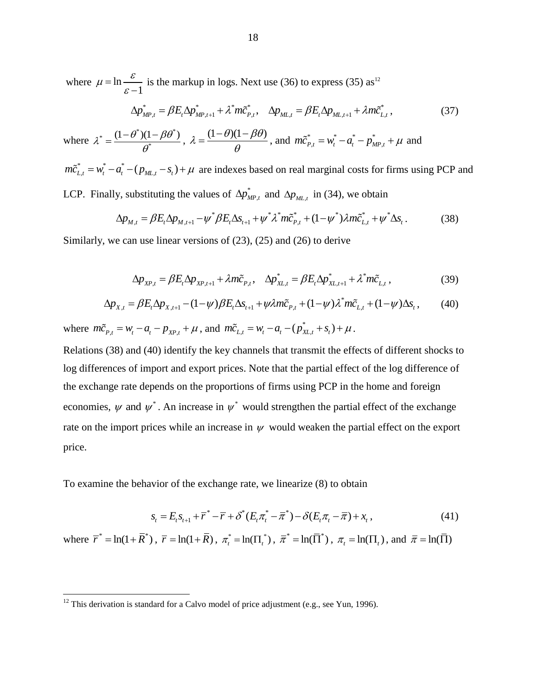where  $\mu = \ln \frac{d\mu}{dt}$ 1  $\mu = \ln \frac{\varepsilon}{\varepsilon - \varepsilon}$  $\overline{a}$ 

$$
\frac{\partial}{\partial y_{\mu}^*} = \beta E_t \Delta p_{\mu}^* + \lambda^* m \tilde{c}_{P,t}^*, \quad \Delta p_{\mu} = \beta E_t \Delta p_{\mu}^* + \lambda m \tilde{c}_{L,t}^*, \tag{37}
$$

where \*  $(1-\theta^*)(1-\beta\theta^*)$ \*  $\lambda^* = \frac{(1 - \theta^*)(1 - \beta \theta^*)}{\theta^*}$  $\theta$  $=\frac{(1-\theta^*)(1-\beta\theta^*)}{\sigma^*}, \lambda=\frac{(1-\theta)(1-\beta\theta)}{\sigma^*}$  $\theta$  $=\frac{(1-\theta)(1-\beta\theta)}{2}$ , and  $m\tilde{c}_{P,t}^* = w_t^* - a_t^* - p_{MP,t}^* + \mu$  and

\*  $-w^* - a^*$  $m\tilde{c}_{L,t}^* = w_t^* - a_t^* - (p_{ML,t} - s_t) + \mu$  are indexes based on real marginal costs for firms using PCP and LCP. Finally, substituting the values of  $\Delta p_{\nu}^*$ 

y, substituting the values of 
$$
\Delta p_{MP,t}^*
$$
 and  $\Delta p_{ML,t}$  in (34), we obtain  
\n
$$
\Delta p_{M,t} = \beta E_t \Delta p_{M,t+1} - \psi^* \beta E_t \Delta s_{t+1} + \psi^* \lambda^* m \tilde{c}_{P,t}^* + (1 - \psi^*) \lambda m \tilde{c}_{L,t}^* + \psi^* \Delta s_t.
$$
\n(38)

Similarly, we can use linear versions of (23), (25) and (26) to derive

$$
\Delta p_{XP,t} = \beta E_t \Delta p_{XP,t+1} + \lambda m \tilde{c}_{P,t}, \quad \Delta p_{XL,t}^* = \beta E_t \Delta p_{XL,t+1}^* + \lambda^* m \tilde{c}_{L,t},
$$
\n(39)

$$
\Delta p_{XP,t} = \beta E_t \Delta p_{XP,t+1} + \lambda m \tilde{c}_{P,t}, \quad \Delta p_{XL,t}^* = \beta E_t \Delta p_{XL,t+1}^* + \lambda^* m \tilde{c}_{L,t},
$$
\n
$$
\Delta p_{X,t} = \beta E_t \Delta p_{X,t+1} - (1 - \psi) \beta E_t \Delta s_{t+1} + \psi \lambda m \tilde{c}_{P,t} + (1 - \psi) \lambda^* m \tilde{c}_{L,t} + (1 - \psi) \Delta s_t,
$$
\n(39)

where  $m\tilde{c}_{p,t} = w_t - a_t - p_{xp,t} + \mu$ , and  $m\tilde{c}_{L,t} = w_t - a_t - (p_{xL,t}^* + s_t) + \mu$ .

Relations (38) and (40) identify the key channels that transmit the effects of different shocks to log differences of import and export prices. Note that the partial effect of the log difference of the exchange rate depends on the proportions of firms using PCP in the home and foreign economies,  $\psi$  and  $\psi^*$ . An increase in  $\psi^*$  would strengthen the partial effect of the exchange rate on the import prices while an increase in  $\psi$  would weaken the partial effect on the export price.

To examine the behavior of the exchange rate, we linearize (8) to obtain

$$
s_{t} = E_{t} s_{t+1} + \overline{r}^{*} - \overline{r} + \delta^{*} (E_{t} \pi_{t}^{*} - \overline{\pi}^{*}) - \delta (E_{t} \pi_{t} - \overline{\pi}) + x_{t},
$$
\n(41)

where  $\bar{r}^* = \ln(1 + \bar{R}^*)$ ,  $\bar{r} = \ln(1 + \bar{R})$ ,  $\pi_i^* = \ln(\Pi_i^*)$ ,  $\bar{\pi}^* = \ln(\bar{\Pi}^*)$ ,  $\pi_i = \ln(\Pi_i)$ , and  $\bar{\pi} = \ln(\bar{\Pi})$ 

<sup>&</sup>lt;sup>12</sup> This derivation is standard for a Calvo model of price adjustment (e.g., see Yun, 1996).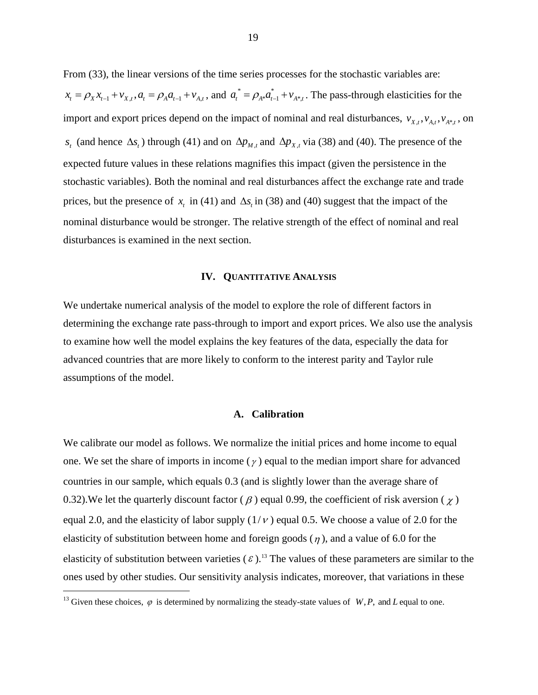From (33), the linear versions of the time series processes for the stochastic variables are:  $x_t = \rho_X x_{t-1} + v_{X,t}, a_t = \rho_A a_{t-1} + v_{A,t}$ , and  $a_t^* = \rho_{A^*} a_{t-1}^* + v_{A^*t}$ . The pass-through elasticities for the import and export prices depend on the impact of nominal and real disturbances,  $v_{X,t}$ ,  $v_{A,t}$ ,  $v_{A^*,t}$ , on  $s_t$  (and hence  $\Delta s_t$ ) through (41) and on  $\Delta p_{M,t}$  and  $\Delta p_{X,t}$  via (38) and (40). The presence of the expected future values in these relations magnifies this impact (given the persistence in the stochastic variables). Both the nominal and real disturbances affect the exchange rate and trade prices, but the presence of  $x_t$  in (41) and  $\Delta s_t$  in (38) and (40) suggest that the impact of the nominal disturbance would be stronger. The relative strength of the effect of nominal and real disturbances is examined in the next section.

#### **IV. QUANTITATIVE ANALYSIS**

We undertake numerical analysis of the model to explore the role of different factors in determining the exchange rate pass-through to import and export prices. We also use the analysis to examine how well the model explains the key features of the data, especially the data for advanced countries that are more likely to conform to the interest parity and Taylor rule assumptions of the model.

#### **A. Calibration**

We calibrate our model as follows. We normalize the initial prices and home income to equal one. We set the share of imports in income  $(\gamma)$  equal to the median import share for advanced countries in our sample, which equals 0.3 (and is slightly lower than the average share of 0.32). We let the quarterly discount factor ( $\beta$ ) equal 0.99, the coefficient of risk aversion ( $\chi$ ) equal 2.0, and the elasticity of labor supply  $(1/\nu)$  equal 0.5. We choose a value of 2.0 for the elasticity of substitution between home and foreign goods  $(\eta)$ , and a value of 6.0 for the elasticity of substitution between varieties  $(\varepsilon)$ .<sup>13</sup> The values of these parameters are similar to the ones used by other studies. Our sensitivity analysis indicates, moreover, that variations in these

<sup>&</sup>lt;sup>13</sup> Given these choices,  $\varphi$  is determined by normalizing the steady-state values of  $W, P$ , and L equal to one.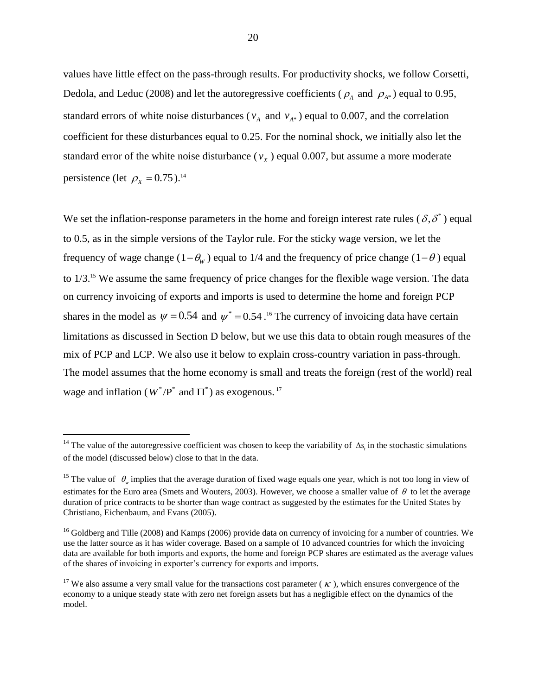values have little effect on the pass-through results. For productivity shocks, we follow Corsetti, Dedola, and Leduc (2008) and let the autoregressive coefficients ( $\rho_A$  and  $\rho_{A^*}$ ) equal to 0.95, standard errors of white noise disturbances ( $v_A$  and  $v_{A*}$ ) equal to 0.007, and the correlation coefficient for these disturbances equal to 0.25. For the nominal shock, we initially also let the standard error of the white noise disturbance ( $v_x$ ) equal 0.007, but assume a more moderate persistence (let  $\rho_X = 0.75$ ).<sup>14</sup>

We set the inflation-response parameters in the home and foreign interest rate rules ( $\delta$ , $\delta^*$ ) equal to 0.5, as in the simple versions of the Taylor rule. For the sticky wage version, we let the frequency of wage change  $(1 - \theta_w)$  equal to 1/4 and the frequency of price change  $(1 - \theta)$  equal to 1/3.<sup>15</sup> We assume the same frequency of price changes for the flexible wage version. The data on currency invoicing of exports and imports is used to determine the home and foreign PCP shares in the model as  $\psi = 0.54$  and  $\psi^* = 0.54$ .<sup>16</sup> The currency of invoicing data have certain limitations as discussed in Section D below, but we use this data to obtain rough measures of the mix of PCP and LCP. We also use it below to explain cross-country variation in pass-through. The model assumes that the home economy is small and treats the foreign (rest of the world) real wage and inflation ( $W^*/P^*$  and  $\Pi^*$ ) as exogenous. <sup>17</sup>

<sup>&</sup>lt;sup>14</sup> The value of the autoregressive coefficient was chosen to keep the variability of  $\Delta s$ <sub>*t*</sub> in the stochastic simulations of the model (discussed below) close to that in the data.

<sup>&</sup>lt;sup>15</sup> The value of  $\theta_w$  implies that the average duration of fixed wage equals one year, which is not too long in view of estimates for the Euro area (Smets and Wouters, 2003). However, we choose a smaller value of  $\theta$  to let the average duration of price contracts to be shorter than wage contract as suggested by the estimates for the United States by Christiano, Eichenbaum, and Evans (2005).

 $16$  Goldberg and Tille (2008) and Kamps (2006) provide data on currency of invoicing for a number of countries. We use the latter source as it has wider coverage. Based on a sample of 10 advanced countries for which the invoicing data are available for both imports and exports, the home and foreign PCP shares are estimated as the average values of the shares of invoicing in exporter's currency for exports and imports.

<sup>&</sup>lt;sup>17</sup> We also assume a very small value for the transactions cost parameter ( $\kappa$ ), which ensures convergence of the economy to a unique steady state with zero net foreign assets but has a negligible effect on the dynamics of the model.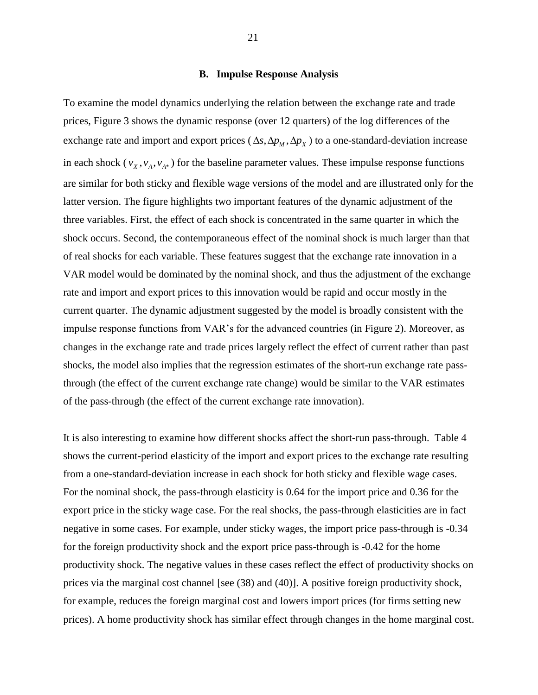#### **B. Impulse Response Analysis**

To examine the model dynamics underlying the relation between the exchange rate and trade prices, Figure 3 shows the dynamic response (over 12 quarters) of the log differences of the exchange rate and import and export prices ( $\Delta s$ ,  $\Delta p$ <sub>*M*</sub>,  $\Delta p$ <sub>*X*</sub>) to a one-standard-deviation increase in each shock  $(v_x, v_A, v_{A^*})$  for the baseline parameter values. These impulse response functions are similar for both sticky and flexible wage versions of the model and are illustrated only for the latter version. The figure highlights two important features of the dynamic adjustment of the three variables. First, the effect of each shock is concentrated in the same quarter in which the shock occurs. Second, the contemporaneous effect of the nominal shock is much larger than that of real shocks for each variable. These features suggest that the exchange rate innovation in a VAR model would be dominated by the nominal shock, and thus the adjustment of the exchange rate and import and export prices to this innovation would be rapid and occur mostly in the current quarter. The dynamic adjustment suggested by the model is broadly consistent with the impulse response functions from VAR's for the advanced countries (in Figure 2). Moreover, as changes in the exchange rate and trade prices largely reflect the effect of current rather than past shocks, the model also implies that the regression estimates of the short-run exchange rate passthrough (the effect of the current exchange rate change) would be similar to the VAR estimates of the pass-through (the effect of the current exchange rate innovation).

It is also interesting to examine how different shocks affect the short-run pass-through. Table 4 shows the current-period elasticity of the import and export prices to the exchange rate resulting from a one-standard-deviation increase in each shock for both sticky and flexible wage cases. For the nominal shock, the pass-through elasticity is 0.64 for the import price and 0.36 for the export price in the sticky wage case. For the real shocks, the pass-through elasticities are in fact negative in some cases. For example, under sticky wages, the import price pass-through is -0.34 for the foreign productivity shock and the export price pass-through is -0.42 for the home productivity shock. The negative values in these cases reflect the effect of productivity shocks on prices via the marginal cost channel [see (38) and (40)]. A positive foreign productivity shock, for example, reduces the foreign marginal cost and lowers import prices (for firms setting new prices). A home productivity shock has similar effect through changes in the home marginal cost.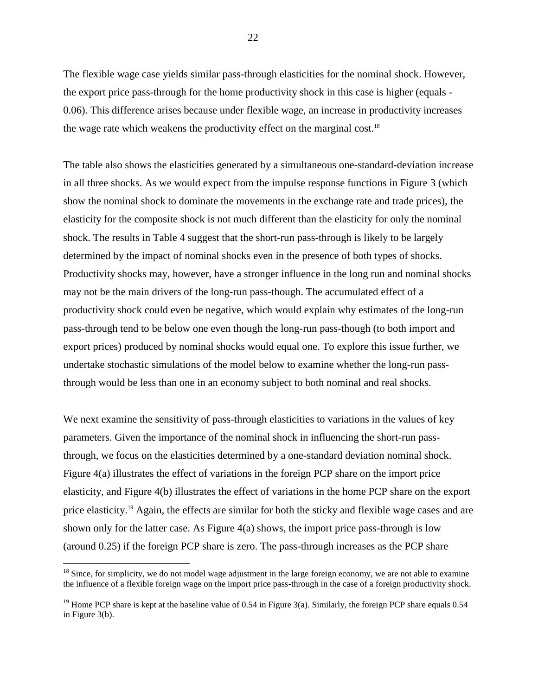The flexible wage case yields similar pass-through elasticities for the nominal shock. However, the export price pass-through for the home productivity shock in this case is higher (equals - 0.06). This difference arises because under flexible wage, an increase in productivity increases the wage rate which weakens the productivity effect on the marginal cost.<sup>18</sup>

The table also shows the elasticities generated by a simultaneous one-standard-deviation increase in all three shocks. As we would expect from the impulse response functions in Figure 3 (which show the nominal shock to dominate the movements in the exchange rate and trade prices), the elasticity for the composite shock is not much different than the elasticity for only the nominal shock. The results in Table 4 suggest that the short-run pass-through is likely to be largely determined by the impact of nominal shocks even in the presence of both types of shocks. Productivity shocks may, however, have a stronger influence in the long run and nominal shocks may not be the main drivers of the long-run pass-though. The accumulated effect of a productivity shock could even be negative, which would explain why estimates of the long-run pass-through tend to be below one even though the long-run pass-though (to both import and export prices) produced by nominal shocks would equal one. To explore this issue further, we undertake stochastic simulations of the model below to examine whether the long-run passthrough would be less than one in an economy subject to both nominal and real shocks.

We next examine the sensitivity of pass-through elasticities to variations in the values of key parameters. Given the importance of the nominal shock in influencing the short-run passthrough, we focus on the elasticities determined by a one-standard deviation nominal shock. Figure 4(a) illustrates the effect of variations in the foreign PCP share on the import price elasticity, and Figure 4(b) illustrates the effect of variations in the home PCP share on the export price elasticity.<sup>19</sup> Again, the effects are similar for both the sticky and flexible wage cases and are shown only for the latter case. As Figure 4(a) shows, the import price pass-through is low (around 0.25) if the foreign PCP share is zero. The pass-through increases as the PCP share

 $18$  Since, for simplicity, we do not model wage adjustment in the large foreign economy, we are not able to examine the influence of a flexible foreign wage on the import price pass-through in the case of a foreign productivity shock.

<sup>&</sup>lt;sup>19</sup> Home PCP share is kept at the baseline value of 0.54 in Figure 3(a). Similarly, the foreign PCP share equals  $0.54$ in Figure 3(b).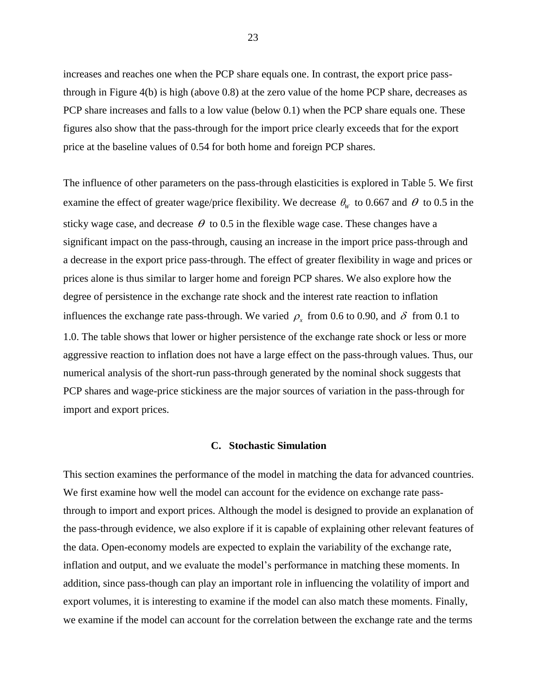increases and reaches one when the PCP share equals one. In contrast, the export price passthrough in Figure 4(b) is high (above 0.8) at the zero value of the home PCP share, decreases as PCP share increases and falls to a low value (below 0.1) when the PCP share equals one. These figures also show that the pass-through for the import price clearly exceeds that for the export price at the baseline values of 0.54 for both home and foreign PCP shares.

The influence of other parameters on the pass-through elasticities is explored in Table 5. We first examine the effect of greater wage/price flexibility. We decrease  $\theta_w$  to 0.667 and  $\theta$  to 0.5 in the sticky wage case, and decrease  $\theta$  to 0.5 in the flexible wage case. These changes have a significant impact on the pass-through, causing an increase in the import price pass-through and a decrease in the export price pass-through. The effect of greater flexibility in wage and prices or prices alone is thus similar to larger home and foreign PCP shares. We also explore how the degree of persistence in the exchange rate shock and the interest rate reaction to inflation influences the exchange rate pass-through. We varied  $\rho_x$  from 0.6 to 0.90, and  $\delta$  from 0.1 to 1.0. The table shows that lower or higher persistence of the exchange rate shock or less or more aggressive reaction to inflation does not have a large effect on the pass-through values. Thus, our numerical analysis of the short-run pass-through generated by the nominal shock suggests that PCP shares and wage-price stickiness are the major sources of variation in the pass-through for import and export prices.

#### **C. Stochastic Simulation**

This section examines the performance of the model in matching the data for advanced countries. We first examine how well the model can account for the evidence on exchange rate passthrough to import and export prices. Although the model is designed to provide an explanation of the pass-through evidence, we also explore if it is capable of explaining other relevant features of the data. Open-economy models are expected to explain the variability of the exchange rate, inflation and output, and we evaluate the model's performance in matching these moments. In addition, since pass-though can play an important role in influencing the volatility of import and export volumes, it is interesting to examine if the model can also match these moments. Finally, we examine if the model can account for the correlation between the exchange rate and the terms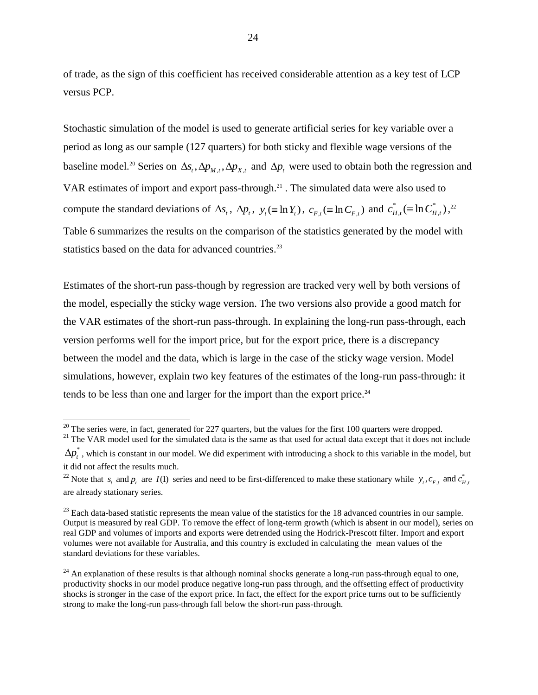of trade, as the sign of this coefficient has received considerable attention as a key test of LCP versus PCP.

Stochastic simulation of the model is used to generate artificial series for key variable over a period as long as our sample (127 quarters) for both sticky and flexible wage versions of the baseline model.<sup>20</sup> Series on  $\Delta s_t$ ,  $\Delta p_{M,t}$ ,  $\Delta p_{X,t}$  and  $\Delta p_t$  were used to obtain both the regression and VAR estimates of import and export pass-through. <sup>21</sup> . The simulated data were also used to compute the standard deviations of  $\Delta s_t$ ,  $\Delta p_t$ ,  $y_t (\equiv \ln Y_t)$ ,  $c_{F,t} (\equiv \ln C_{F,t})$  and  $c_{H,t}^* (\equiv \ln C_H^*)$  $c^{*}_{H,t} (\equiv \ln C^{*}_{H,t})$  ,  $^{22}$ Table 6 summarizes the results on the comparison of the statistics generated by the model with statistics based on the data for advanced countries.<sup>23</sup>

Estimates of the short-run pass-though by regression are tracked very well by both versions of the model, especially the sticky wage version. The two versions also provide a good match for the VAR estimates of the short-run pass-through. In explaining the long-run pass-through, each version performs well for the import price, but for the export price, there is a discrepancy between the model and the data, which is large in the case of the sticky wage version. Model simulations, however, explain two key features of the estimates of the long-run pass-through: it tends to be less than one and larger for the import than the export price.<sup>24</sup>

 $20$  The series were, in fact, generated for 227 quarters, but the values for the first 100 quarters were dropped.

<sup>&</sup>lt;sup>21</sup> The VAR model used for the simulated data is the same as that used for actual data except that it does not include

 $\Delta p_t^*$  , which is constant in our model. We did experiment with introducing a shock to this variable in the model, but it did not affect the results much.

<sup>&</sup>lt;sup>22</sup> Note that  $s_t$  and  $p_t$  are  $I(1)$  series and need to be first-differenced to make these stationary while  $y_t$ ,  $c_{F,t}$  and  $c_{H,t}$ <sup>\*</sup> are already stationary series.

 $^{23}$  Each data-based statistic represents the mean value of the statistics for the 18 advanced countries in our sample. Output is measured by real GDP. To remove the effect of long-term growth (which is absent in our model), series on real GDP and volumes of imports and exports were detrended using the Hodrick-Prescott filter. Import and export volumes were not available for Australia, and this country is excluded in calculating the mean values of the standard deviations for these variables.

 $^{24}$  An explanation of these results is that although nominal shocks generate a long-run pass-through equal to one, productivity shocks in our model produce negative long-run pass through, and the offsetting effect of productivity shocks is stronger in the case of the export price. In fact, the effect for the export price turns out to be sufficiently strong to make the long-run pass-through fall below the short-run pass-through.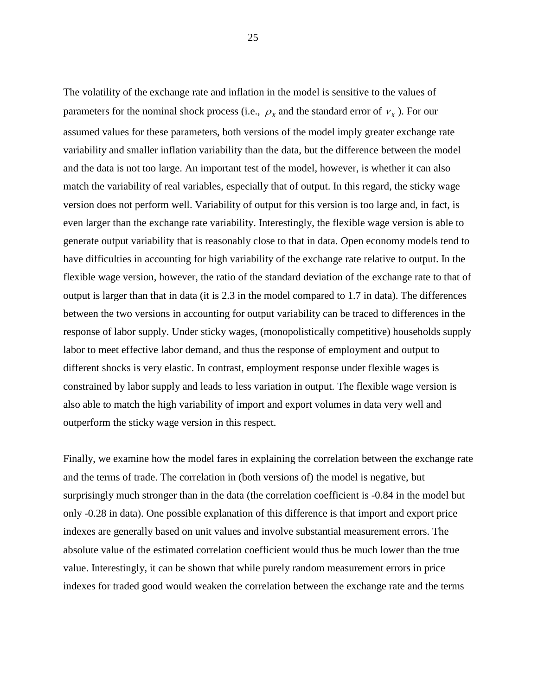The volatility of the exchange rate and inflation in the model is sensitive to the values of parameters for the nominal shock process (i.e.,  $\rho_X$  and the standard error of  $v_X$ ). For our assumed values for these parameters, both versions of the model imply greater exchange rate variability and smaller inflation variability than the data, but the difference between the model and the data is not too large. An important test of the model, however, is whether it can also match the variability of real variables, especially that of output. In this regard, the sticky wage version does not perform well. Variability of output for this version is too large and, in fact, is even larger than the exchange rate variability. Interestingly, the flexible wage version is able to generate output variability that is reasonably close to that in data. Open economy models tend to have difficulties in accounting for high variability of the exchange rate relative to output. In the flexible wage version, however, the ratio of the standard deviation of the exchange rate to that of output is larger than that in data (it is 2.3 in the model compared to 1.7 in data). The differences between the two versions in accounting for output variability can be traced to differences in the response of labor supply. Under sticky wages, (monopolistically competitive) households supply labor to meet effective labor demand, and thus the response of employment and output to different shocks is very elastic. In contrast, employment response under flexible wages is constrained by labor supply and leads to less variation in output. The flexible wage version is also able to match the high variability of import and export volumes in data very well and outperform the sticky wage version in this respect.

Finally, we examine how the model fares in explaining the correlation between the exchange rate and the terms of trade. The correlation in (both versions of) the model is negative, but surprisingly much stronger than in the data (the correlation coefficient is -0.84 in the model but only -0.28 in data). One possible explanation of this difference is that import and export price indexes are generally based on unit values and involve substantial measurement errors. The absolute value of the estimated correlation coefficient would thus be much lower than the true value. Interestingly, it can be shown that while purely random measurement errors in price indexes for traded good would weaken the correlation between the exchange rate and the terms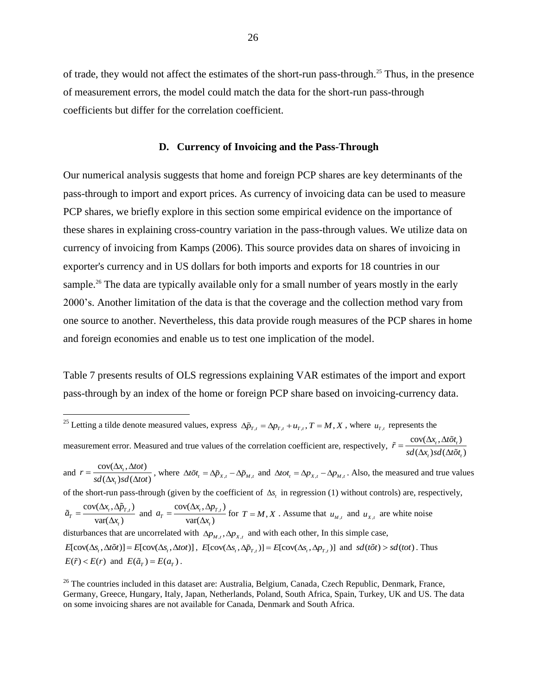of trade, they would not affect the estimates of the short-run pass-through.<sup>25</sup> Thus, in the presence of measurement errors, the model could match the data for the short-run pass-through coefficients but differ for the correlation coefficient.

#### **D. Currency of Invoicing and the Pass-Through**

Our numerical analysis suggests that home and foreign PCP shares are key determinants of the pass-through to import and export prices. As currency of invoicing data can be used to measure PCP shares, we briefly explore in this section some empirical evidence on the importance of these shares in explaining cross-country variation in the pass-through values. We utilize data on currency of invoicing from Kamps (2006). This source provides data on shares of invoicing in exporter's currency and in US dollars for both imports and exports for 18 countries in our sample.<sup>26</sup> The data are typically available only for a small number of years mostly in the early 2000's. Another limitation of the data is that the coverage and the collection method vary from one source to another. Nevertheless, this data provide rough measures of the PCP shares in home and foreign economies and enable us to test one implication of the model.

Table 7 presents results of OLS regressions explaining VAR estimates of the import and export pass-through by an index of the home or foreign PCP share based on invoicing-currency data.

<sup>&</sup>lt;sup>25</sup> Letting a tilde denote measured values, express  $\Delta \tilde{p}_{T,t} = \Delta p_{T,t} + u_{T,t}$ ,  $T = M, X$ , where  $u_{T,t}$  represents the measurement error. Measured and true values of the correlation coefficient are, respectively,  $\tilde{r} = \frac{\text{cov}(\Delta x_i, \Delta t \tilde{\sigma} t_i)}{\Delta t}$  $\frac{\partial v(\Delta t_t, \Delta t \partial t_t)}{(\Delta x_t) sd(\Delta t \tilde{o} t_t)}$  $_{t}$  *ysa* ( $\Delta$ *to* $_{t}$  $\tilde{r} = \frac{\text{cov}(\Delta x_t, \Delta t \tilde{\sigma} t_t)}{sd(\Delta x_t) sd(\Delta t \tilde{\sigma} t)}$  $=\frac{\text{cov}(\Delta x_t, \Delta t \tilde{o} t_t)}{sd(\Delta x_t) sd(\Delta t \tilde{o} t_t)}$ and  $r = \frac{\text{cov}(\Delta x_t, \Delta tot)}{f(\Delta x_t, \Delta tot)}$  $\frac{\partial v(\Delta x_t, \Delta t)}{(\Delta x_t) sd(\Delta t)}$ *t*  $r = \frac{\text{cov}(\Delta x_t, \Delta tot)}{sd(\Delta x_t) sd(\Delta tot)}$  $=\frac{\text{cov}(\Delta x_t, \Delta tot)}{sd(\Delta x_t, sd(\Delta tot))}$ , where  $\Delta t \tilde{o}t_t = \Delta \tilde{p}_{x,t} - \Delta \tilde{p}_{M,t}$  and  $\Delta tot_t = \Delta p_{x,t} - \Delta p_{M,t}$ . Also, the measured and true values of the short-run pass-through (given by the coefficient of  $\Delta s_t$  in regression (1) without controls) are, respectively,  $cov(\Delta x_{t}, \Delta \tilde{p}_{T,t})$  $var(\Delta x_t)$  $T = \frac{\text{cov}(\Delta t_t, \Delta p_{T,t})}{\text{cov}(\Delta t_t)}$ *t*  $\tilde{a}_r = \frac{\text{cov}(\Delta x_i, \Delta \tilde{p})}{\Delta x_i}$ *x*  $=\frac{\text{cov}(\Delta x_t, \Delta \tilde{p}_t)}{n}$  $\frac{(\mathbf{A}\tilde{p}_{T,t})}{\Delta x_i}$  and  $a_T = \frac{\text{cov}(\Delta x_t, \Delta p_{T,t})}{\text{var}(\Delta x_t)}$  $var(\Delta x_i)$  $T = \frac{\text{cov}(\Delta t_t, \Delta p_{T,t})}{\text{cov}(\Delta t_t)}$ *t*  $a_r = \frac{\text{cov}(\Delta x_i, \Delta p)}{n}$ *x*  $=\frac{\text{cov}(\Delta x_t, \Delta p_t)}{n}$  $\frac{H_1 H_2 H_3}{\Delta x}$  for  $T = M, X$ . Assume that  $u_{M,t}$  and  $u_{X,t}$  are white noise disturbances that are uncorrelated with  $\Delta p_{M,t}, \Delta p_{X,t}$  and with each other, In this simple case,  $E[cov(\Delta s_t, \Delta t \tilde{\sigma}t)] = E[cov(\Delta s_t, \Delta t \sigma t)]$ ,  $E[cov(\Delta s_t, \Delta \tilde{p}_{T,t})] = E[cov(\Delta s_t, \Delta p_{T,t})]$  and  $sd(t\tilde{\sigma}t) > sd(t\sigma t)$ . Thus  $E(\tilde{r}) < E(r)$  and  $E(\tilde{a}_T) = E(a_T)$ .

 $26$  The countries included in this dataset are: Australia, Belgium, Canada, Czech Republic, Denmark, France, Germany, Greece, Hungary, Italy, Japan, Netherlands, Poland, South Africa, Spain, Turkey, UK and US. The data on some invoicing shares are not available for Canada, Denmark and South Africa.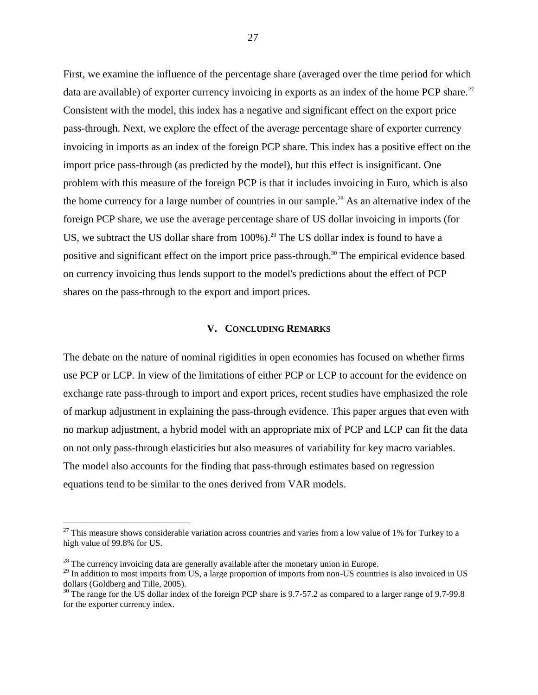First, we examine the influence of the percentage share (averaged over the time period for which data are available) of exporter currency invoicing in exports as an index of the home PCP share.<sup>27</sup> Consistent with the model, this index has a negative and significant effect on the export price pass-through. Next, we explore the effect of the average percentage share of exporter currency invoicing in imports as an index of the foreign PCP share. This index has a positive effect on the import price pass-through (as predicted by the model), but this effect is insignificant. One problem with this measure of the foreign PCP is that it includes invoicing in Euro, which is also the home currency for a large number of countries in our sample.<sup>28</sup> As an alternative index of the foreign PCP share, we use the average percentage share of US dollar invoicing in imports (for US, we subtract the US dollar share from  $100\%$ ).<sup>29</sup> The US dollar index is found to have a positive and significant effect on the import price pass-through.<sup>30</sup> The empirical evidence based on currency invoicing thus lends support to the model's predictions about the effect of PCP shares on the pass-through to the export and import prices.

#### **V. CONCLUDING REMARKS**

The debate on the nature of nominal rigidities in open economies has focused on whether firms use PCP or LCP. In view of the limitations of either PCP or LCP to account for the evidence on exchange rate pass-through to import and export prices, recent studies have emphasized the role of markup adjustment in explaining the pass-through evidence. This paper argues that even with no markup adjustment, a hybrid model with an appropriate mix of PCP and LCP can fit the data on not only pass-through elasticities but also measures of variability for key macro variables. The model also accounts for the finding that pass-through estimates based on regression equations tend to be similar to the ones derived from VAR models.

 $^{27}$  This measure shows considerable variation across countries and varies from a low value of 1% for Turkey to a high value of 99.8% for US.

 $28$  The currency invoicing data are generally available after the monetary union in Europe.

<sup>&</sup>lt;sup>29</sup> In addition to most imports from US, a large proportion of imports from non-US countries is also invoiced in US dollars (Goldberg and Tille, 2005).

<sup>&</sup>lt;sup>30</sup> The range for the US dollar index of the foreign PCP share is 9.7-57.2 as compared to a larger range of 9.7-99.8 for the exporter currency index.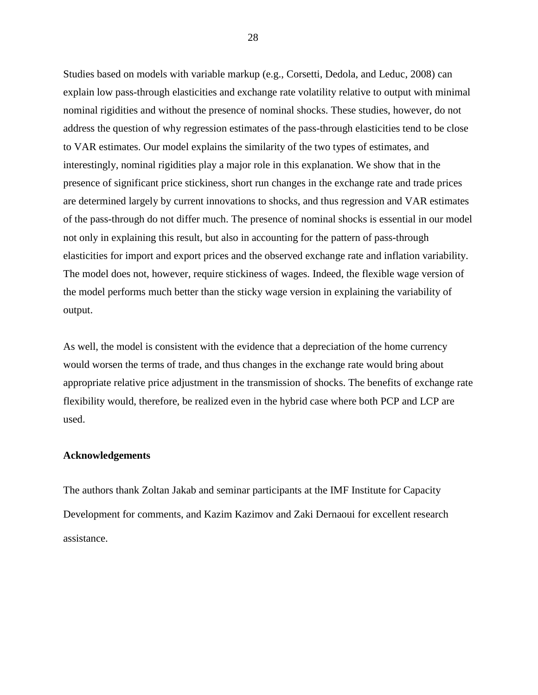Studies based on models with variable markup (e.g., Corsetti, Dedola, and Leduc, 2008) can explain low pass-through elasticities and exchange rate volatility relative to output with minimal nominal rigidities and without the presence of nominal shocks. These studies, however, do not address the question of why regression estimates of the pass-through elasticities tend to be close to VAR estimates. Our model explains the similarity of the two types of estimates, and interestingly, nominal rigidities play a major role in this explanation. We show that in the presence of significant price stickiness, short run changes in the exchange rate and trade prices are determined largely by current innovations to shocks, and thus regression and VAR estimates of the pass-through do not differ much. The presence of nominal shocks is essential in our model not only in explaining this result, but also in accounting for the pattern of pass-through elasticities for import and export prices and the observed exchange rate and inflation variability. The model does not, however, require stickiness of wages. Indeed, the flexible wage version of the model performs much better than the sticky wage version in explaining the variability of output.

As well, the model is consistent with the evidence that a depreciation of the home currency would worsen the terms of trade, and thus changes in the exchange rate would bring about appropriate relative price adjustment in the transmission of shocks. The benefits of exchange rate flexibility would, therefore, be realized even in the hybrid case where both PCP and LCP are used.

#### **Acknowledgements**

The authors thank Zoltan Jakab and seminar participants at the IMF Institute for Capacity Development for comments, and Kazim Kazimov and Zaki Dernaoui for excellent research assistance.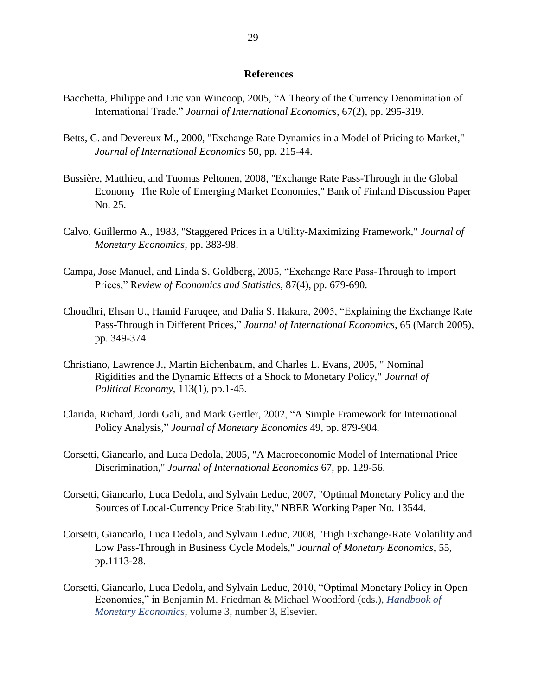#### **References**

- Bacchetta, Philippe and Eric van Wincoop, 2005, "A Theory of the Currency Denomination of International Trade." *Journal of International Economics*, 67(2), pp. 295-319.
- Betts, C. and Devereux M., 2000, "Exchange Rate Dynamics in a Model of Pricing to Market," *Journal of International Economics* 50, pp. 215-44.
- Bussière, Matthieu, and Tuomas Peltonen, 2008, "Exchange Rate Pass-Through in the Global Economy–The Role of Emerging Market Economies," Bank of Finland Discussion Paper No. 25.
- Calvo, Guillermo A., 1983, "Staggered Prices in a Utility-Maximizing Framework," *Journal of Monetary Economics*, pp. 383-98.
- Campa, Jose Manuel, and Linda S. Goldberg, 2005, "Exchange Rate Pass-Through to Import Prices," R*eview of Economics and Statistics*, 87(4), pp. 679-690.
- Choudhri, Ehsan U., Hamid Faruqee, and Dalia S. Hakura, 2005, "Explaining the Exchange Rate Pass-Through in Different Prices," *Journal of International Economics*, 65 (March 2005), pp. 349-374.
- Christiano, Lawrence J., Martin Eichenbaum, and Charles L. Evans, 2005, " Nominal Rigidities and the Dynamic Effects of a Shock to Monetary Policy," *Journal of Political Economy*, 113(1), pp.1-45.
- Clarida, Richard, Jordi Gali, and Mark Gertler, 2002, "A Simple Framework for International Policy Analysis," *Journal of Monetary Economics* 49, pp. 879-904.
- Corsetti, Giancarlo, and Luca Dedola, 2005, "A Macroeconomic Model of International Price Discrimination," *Journal of International Economics* 67, pp. 129-56.
- Corsetti, Giancarlo, Luca Dedola, and Sylvain Leduc, 2007, "Optimal Monetary Policy and the Sources of Local-Currency Price Stability," NBER Working Paper No. 13544.
- Corsetti, Giancarlo, Luca Dedola, and Sylvain Leduc, 2008, "High Exchange-Rate Volatility and Low Pass-Through in Business Cycle Models," *Journal of Monetary Economics*, 55, pp.1113-28.
- Corsetti, Giancarlo, Luca Dedola, and Sylvain Leduc, 2010, "Optimal Monetary Policy in Open Economies," in Benjamin M. Friedman & Michael Woodford (eds.), *[Handbook of](http://ideas.repec.org/s/eee/monhes.html)  [Monetary Economics](http://ideas.repec.org/s/eee/monhes.html)*, volume 3, number 3, Elsevier.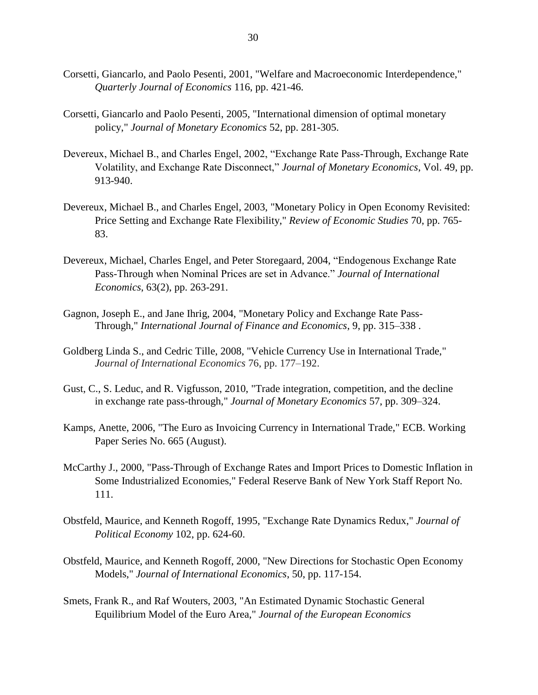- Corsetti, Giancarlo, and Paolo Pesenti, 2001, "Welfare and Macroeconomic Interdependence," *Quarterly Journal of Economics* 116, pp. 421-46.
- Corsetti, Giancarlo and Paolo Pesenti, 2005, "International dimension of optimal monetary policy," *Journal of Monetary Economics* 52, pp. 281-305.
- Devereux, Michael B., and Charles Engel, 2002, "Exchange Rate Pass-Through, Exchange Rate Volatility, and Exchange Rate Disconnect," *Journal of Monetary Economics*, Vol. 49, pp. 913-940.
- Devereux, Michael B., and Charles Engel, 2003, "Monetary Policy in Open Economy Revisited: Price Setting and Exchange Rate Flexibility," *Review of Economic Studies* 70, pp. 765- 83.
- Devereux, Michael, Charles Engel, and Peter Storegaard, 2004, "Endogenous Exchange Rate Pass-Through when Nominal Prices are set in Advance." *Journal of International Economics*, 63(2), pp. 263-291.
- Gagnon, Joseph E., and Jane Ihrig, 2004, "Monetary Policy and Exchange Rate Pass-Through," *International Journal of Finance and Economics*, 9, pp. 315–338 .
- Goldberg Linda S., and Cedric Tille, 2008, "Vehicle Currency Use in International Trade," *Journal of International Economics* 76, pp. 177–192.
- Gust, C., S. Leduc, and R. Vigfusson, 2010, "Trade integration, competition, and the decline in exchange rate pass-through," *Journal of Monetary Economics* 57, pp. 309–324.
- Kamps, Anette, 2006, "The Euro as Invoicing Currency in International Trade," ECB. Working Paper Series No. 665 (August).
- McCarthy J., 2000, "Pass-Through of Exchange Rates and Import Prices to Domestic Inflation in Some Industrialized Economies," Federal Reserve Bank of New York Staff Report No. 111.
- Obstfeld, Maurice, and Kenneth Rogoff, 1995, "Exchange Rate Dynamics Redux," *Journal of Political Economy* 102, pp. 624-60.
- Obstfeld, Maurice, and Kenneth Rogoff, 2000, "New Directions for Stochastic Open Economy Models," *Journal of International Economics*, 50, pp. 117-154.
- Smets, Frank R., and Raf Wouters, 2003, "An Estimated Dynamic Stochastic General Equilibrium Model of the Euro Area," *Journal of the European Economics*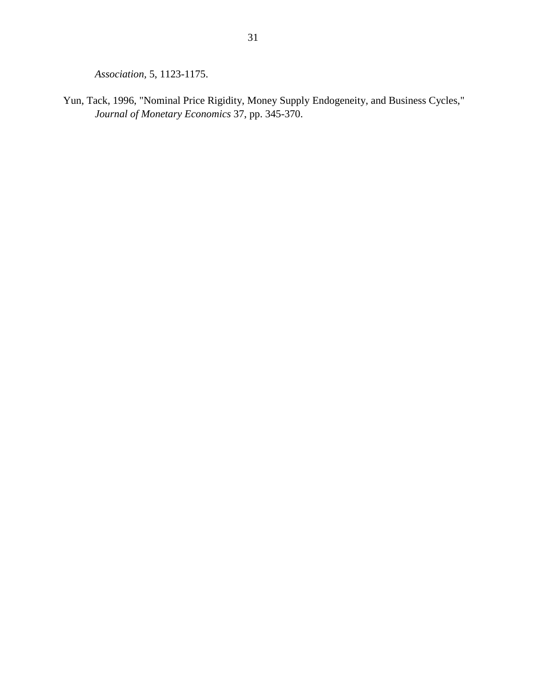*Association,* 5, 1123-1175.

Yun, Tack, 1996, "Nominal Price Rigidity, Money Supply Endogeneity, and Business Cycles," *Journal of Monetary Economics* 37, pp. 345-370.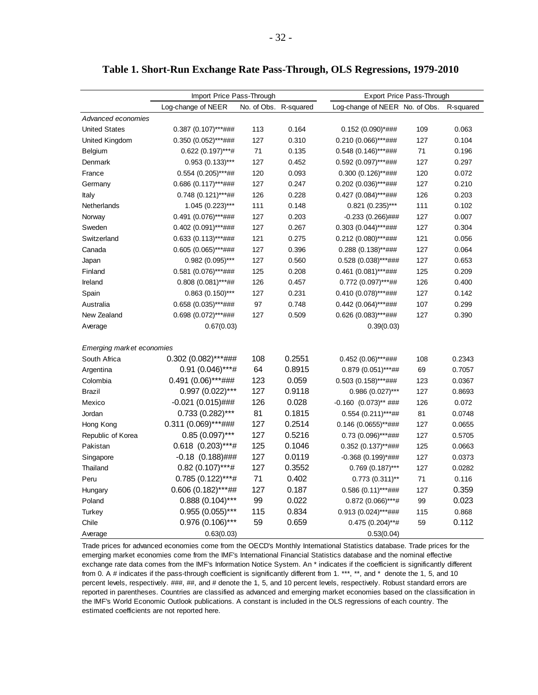|                           |                       |       | rt-Run Exchange Rate Pass-Through, OLS Regressions, 1979-2010 |                           |       |
|---------------------------|-----------------------|-------|---------------------------------------------------------------|---------------------------|-------|
| Import Price Pass-Through |                       |       |                                                               | Export Price Pass-Through |       |
| Log-change of NEER        | No. of Obs. R-squared |       | Log-change of NEER No. of Obs. R-squared                      |                           |       |
|                           |                       |       |                                                               |                           |       |
| $0.387(0.107)$ ***###     | 113                   | 0.164 | $0.152(0.090)*\#$ ###                                         | 109                       | 0.063 |
| $0.350(0.052)$ ***###     | 127                   | 0.310 | $0.210(0.066)***$ ###                                         | 127                       | 0.104 |
| $0.622(0.197)$ ***#       | 71                    | 0.135 | $0.548(0.146)$ ***###                                         | 71                        | 0.196 |
| $0.953(0.133)***$         | 127                   | 0.452 | $0.592(0.097)$ ***###                                         | 127                       | 0.297 |
|                           |                       |       |                                                               |                           |       |

| Advanced economies        |                          |     |        |                           |     |        |
|---------------------------|--------------------------|-----|--------|---------------------------|-----|--------|
| <b>United States</b>      | $0.387$ (0.107)***###    | 113 | 0.164  | 0.152 (0.090)*###         | 109 | 0.063  |
| United Kingdom            | $0.350(0.052)$ ***###    | 127 | 0.310  | $0.210(0.066)$ ***###     | 127 | 0.104  |
| Belgium                   | $0.622(0.197)***$ #      | 71  | 0.135  | $0.548(0.146)$ ***###     | 71  | 0.196  |
| Denmark                   | $0.953(0.133)***$        | 127 | 0.452  | $0.592$ (0.097)***###     | 127 | 0.297  |
| France                    | $0.554$ (0.205)***##     | 120 | 0.093  | $0.300(0.126)$ **###      | 120 | 0.072  |
| Germany                   | $0.686$ $(0.117)$ ***### | 127 | 0.247  | $0.202$ (0.036)***###     | 127 | 0.210  |
| Italy                     | $0.748(0.121)$ ***##     | 126 | 0.228  | $0.427$ (0.084)***###     | 126 | 0.203  |
| Netherlands               | $1.045(0.223)$ ***       | 111 | 0.148  | $0.821$ (0.235)***        | 111 | 0.102  |
| Norway                    | $0.491 (0.076)$ ***###   | 127 | 0.203  | $-0.233(0.266)$ ###       | 127 | 0.007  |
| Sweden                    | $0.402$ (0.091)***###    | 127 | 0.267  | $0.303$ $(0.044)$ ***###  | 127 | 0.304  |
| Switzerland               | $0.633(0.113)$ ***###    | 121 | 0.275  | $0.212(0.080)$ ***###     | 121 | 0.056  |
| Canada                    | $0.605(0.065)$ ***###    | 127 | 0.396  | $0.288$ (0.138)**###      | 127 | 0.064  |
| Japan                     | $0.982(0.095)$ ***       | 127 | 0.560  | $0.528$ (0.038)***###     | 127 | 0.653  |
| Finland                   | $0.581$ (0.076)***###    | 125 | 0.208  | $0.461$ (0.081)***###     | 125 | 0.209  |
| Ireland                   | $0.808(0.081)$ ***##     | 126 | 0.457  | $0.772$ (0.097)***##      | 126 | 0.400  |
| Spain                     | $0.863(0.150)$ ***       | 127 | 0.231  | $0.410(0.078)$ ***###     | 127 | 0.142  |
| Australia                 | $0.658(0.035)***$ ###    | 97  | 0.748  | $0.442$ (0.064)***###     | 107 | 0.299  |
| New Zealand               | $0.698(0.072)$ ***###    | 127 | 0.509  | $0.626$ (0.083)***###     | 127 | 0.390  |
| Average                   | 0.67(0.03)               |     |        | 0.39(0.03)                |     |        |
| Emerging market economies |                          |     |        |                           |     |        |
| South Africa              | $0.302$ (0.082)***###    | 108 | 0.2551 | $0.452(0.06)***$ ###      | 108 | 0.2343 |
| Argentina                 | 0.91 (0.046)***#         | 64  | 0.8915 | $0.879(0.051)$ ***##      | 69  | 0.7057 |
| Colombia                  | 0.491 (0.06)***###       | 123 | 0.059  | $0.503(0.158)$ ***###     | 123 | 0.0367 |
| <b>Brazil</b>             | 0.997 (0.022)***         | 127 | 0.9118 | $0.986(0.027)$ ***        | 127 | 0.8693 |
| Mexico                    | $-0.021(0.015)$ ###      | 126 | 0.028  | $-0.160$ $(0.073)$ ** ### | 126 | 0.072  |
| Jordan                    | $0.733(0.282)$ ***       | 81  | 0.1815 | $0.554$ $(0.211)***$ ##   | 81  | 0.0748 |
| Hong Kong                 | $0.311(0.069)$ ***###    | 127 | 0.2514 | $0.146$ (0.0655)**###     | 127 | 0.0655 |
| Republic of Korea         | $0.85(0.097)$ ***        | 127 | 0.5216 | 0.73 (0.096)***###        | 127 | 0.5705 |
| Pakistan                  | $0.618$ $(0.203)***$ #   | 125 | 0.1046 | $0.352(0.137)$ **###      | 125 | 0.0663 |
| Singapore                 | $-0.18$ $(0.188)$ ###    | 127 | 0.0119 | $-0.368$ (0.199)*###      | 127 | 0.0373 |
| Thailand                  | $0.82$ (0.107)***#       | 127 | 0.3552 | $0.769$ $(0.187)$ ***     | 127 | 0.0282 |
| Peru                      | $0.785(0.122)***$ #      | 71  | 0.402  | $0.773(0.311)$ **         | 71  | 0.116  |
| Hungary                   | $0.606(0.182)$ ***##     | 127 | 0.187  | $0.586$ $(0.11)$ ***###   | 127 | 0.359  |
| Poland                    | $0.888(0.104)$ ***       | 99  | 0.022  | $0.872(0.066)***$ #       | 99  | 0.023  |
| Turkey                    | $0.955(0.055)$ ***       | 115 | 0.834  | 0.913 (0.024)***###       | 115 | 0.868  |
| Chile                     | 0.976 (0.106)***         | 59  | 0.659  | $0.475(0.204)$ **#        | 59  | 0.112  |
| Average                   | 0.63(0.03)               |     |        | 0.53(0.04)                |     |        |

Trade prices for advanced economies come from the OECD's Monthly International Statistics database. Trade prices for the emerging market economies come from the IMF's International Financial Statistics database and the nominal effective exchange rate data comes from the IMF's Information Notice System. An \* indicates if the coefficient is significantly different from 0. A # indicates if the pass-through coefficient is significantly different from 1. \*\*\*, \*\*, and \* denote the 1, 5, and 10 percent levels, respectively. ###, ##, and # denote the 1, 5, and 10 percent levels, respectively. Robust standard errors are reported in parentheses. Countries are classified as advanced and emerging market economies based on the classification in the IMF's World Economic Outlook publications. A constant is included in the OLS regressions of each country. The estimated coefficients are not reported here.

#### **Table 1. Short-Run Exchange Rate Pass-Through, OLS Regressions, 1979-2010**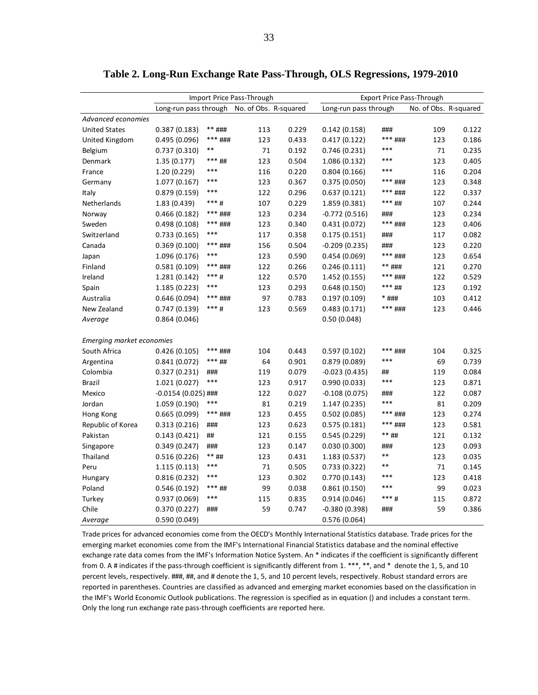| Long-run pass through<br>No. of Obs. R-squared<br>Long-run pass through<br>No. of Obs. R-squared<br>Advanced economies<br>0.229<br><b>United States</b><br>0.387(0.183)<br>** ###<br>113<br>0.142(0.158)<br>###<br>109<br>*** ###<br>123<br>0.433<br>*** ###<br>123<br>United Kingdom<br>0.495 (0.096)<br>0.417(0.122)<br>$***$<br>***<br>71<br>0.192<br>71<br>Belgium<br>0.737 (0.310)<br>0.746(0.231)<br>*** ##<br>123<br>***<br>123<br>1.35(0.177)<br>0.504<br>1.086 (0.132)<br>Denmark<br>***<br>***<br>1.20 (0.229)<br>116<br>0.220<br>0.804(0.166)<br>116<br>France<br>***<br>1.077 (0.167)<br>123<br>0.367<br>0.375(0.050)<br>*** ###<br>123<br>Germany<br>***<br>0.296<br>0.879(0.159)<br>122<br>0.637(0.121)<br>*** ###<br>122<br>Italy<br>$***$ #<br>107<br>0.229<br>*** ##<br>107<br>Netherlands<br>1.83 (0.439)<br>1.859 (0.381)<br>*** ###<br>123<br>0.234<br>0.466 (0.182)<br>$-0.772(0.516)$<br>123<br>Norway<br>###<br>*** ###<br>123<br>0.340<br>*** ###<br>123<br>Sweden<br>0.498(0.108)<br>0.431(0.072)<br>***<br>0.733(0.165)<br>117<br>0.358<br>0.175(0.151)<br>###<br>Switzerland<br>117<br>*** ###<br>0.369(0.100)<br>156<br>0.504<br>$-0.209(0.235)$<br>123<br>Canada<br>###<br>***<br>0.590<br>*** ###<br>1.096 (0.176)<br>123<br>0.454(0.069)<br>123<br>Japan<br>*** ###<br>0.266<br>** ###<br>0.581(0.109)<br>122<br>0.246(0.111)<br>121<br>Finland<br>$***$ #<br>0.570<br>Ireland<br>1.281 (0.142)<br>122<br>1.452 (0.155)<br>*** ###<br>122<br>***<br>123<br>0.293<br>*** ##<br>1.185 (0.223)<br>0.648(0.150)<br>123<br>Spain<br>0.646(0.094)<br>*** ###<br>97<br>0.783<br>103<br>0.197(0.109)<br>* ###<br>Australia<br>*** #<br>*** ###<br>123<br>0.569<br>123<br>New Zealand<br>0.747 (0.139)<br>0.483 (0.171)<br>0.50(0.048)<br>0.864 (0.046)<br>Average | Import Price Pass-Through |  |  | Export Price Pass-Through |  |  |       |
|------------------------------------------------------------------------------------------------------------------------------------------------------------------------------------------------------------------------------------------------------------------------------------------------------------------------------------------------------------------------------------------------------------------------------------------------------------------------------------------------------------------------------------------------------------------------------------------------------------------------------------------------------------------------------------------------------------------------------------------------------------------------------------------------------------------------------------------------------------------------------------------------------------------------------------------------------------------------------------------------------------------------------------------------------------------------------------------------------------------------------------------------------------------------------------------------------------------------------------------------------------------------------------------------------------------------------------------------------------------------------------------------------------------------------------------------------------------------------------------------------------------------------------------------------------------------------------------------------------------------------------------------------------------------------------------------------------------------------------------------------------------------------------------|---------------------------|--|--|---------------------------|--|--|-------|
|                                                                                                                                                                                                                                                                                                                                                                                                                                                                                                                                                                                                                                                                                                                                                                                                                                                                                                                                                                                                                                                                                                                                                                                                                                                                                                                                                                                                                                                                                                                                                                                                                                                                                                                                                                                          |                           |  |  |                           |  |  |       |
|                                                                                                                                                                                                                                                                                                                                                                                                                                                                                                                                                                                                                                                                                                                                                                                                                                                                                                                                                                                                                                                                                                                                                                                                                                                                                                                                                                                                                                                                                                                                                                                                                                                                                                                                                                                          |                           |  |  |                           |  |  |       |
|                                                                                                                                                                                                                                                                                                                                                                                                                                                                                                                                                                                                                                                                                                                                                                                                                                                                                                                                                                                                                                                                                                                                                                                                                                                                                                                                                                                                                                                                                                                                                                                                                                                                                                                                                                                          |                           |  |  |                           |  |  | 0.122 |
|                                                                                                                                                                                                                                                                                                                                                                                                                                                                                                                                                                                                                                                                                                                                                                                                                                                                                                                                                                                                                                                                                                                                                                                                                                                                                                                                                                                                                                                                                                                                                                                                                                                                                                                                                                                          |                           |  |  |                           |  |  | 0.186 |
|                                                                                                                                                                                                                                                                                                                                                                                                                                                                                                                                                                                                                                                                                                                                                                                                                                                                                                                                                                                                                                                                                                                                                                                                                                                                                                                                                                                                                                                                                                                                                                                                                                                                                                                                                                                          |                           |  |  |                           |  |  | 0.235 |
|                                                                                                                                                                                                                                                                                                                                                                                                                                                                                                                                                                                                                                                                                                                                                                                                                                                                                                                                                                                                                                                                                                                                                                                                                                                                                                                                                                                                                                                                                                                                                                                                                                                                                                                                                                                          |                           |  |  |                           |  |  | 0.405 |
|                                                                                                                                                                                                                                                                                                                                                                                                                                                                                                                                                                                                                                                                                                                                                                                                                                                                                                                                                                                                                                                                                                                                                                                                                                                                                                                                                                                                                                                                                                                                                                                                                                                                                                                                                                                          |                           |  |  |                           |  |  | 0.204 |
|                                                                                                                                                                                                                                                                                                                                                                                                                                                                                                                                                                                                                                                                                                                                                                                                                                                                                                                                                                                                                                                                                                                                                                                                                                                                                                                                                                                                                                                                                                                                                                                                                                                                                                                                                                                          |                           |  |  |                           |  |  | 0.348 |
|                                                                                                                                                                                                                                                                                                                                                                                                                                                                                                                                                                                                                                                                                                                                                                                                                                                                                                                                                                                                                                                                                                                                                                                                                                                                                                                                                                                                                                                                                                                                                                                                                                                                                                                                                                                          |                           |  |  |                           |  |  | 0.337 |
|                                                                                                                                                                                                                                                                                                                                                                                                                                                                                                                                                                                                                                                                                                                                                                                                                                                                                                                                                                                                                                                                                                                                                                                                                                                                                                                                                                                                                                                                                                                                                                                                                                                                                                                                                                                          |                           |  |  |                           |  |  | 0.244 |
|                                                                                                                                                                                                                                                                                                                                                                                                                                                                                                                                                                                                                                                                                                                                                                                                                                                                                                                                                                                                                                                                                                                                                                                                                                                                                                                                                                                                                                                                                                                                                                                                                                                                                                                                                                                          |                           |  |  |                           |  |  | 0.234 |
|                                                                                                                                                                                                                                                                                                                                                                                                                                                                                                                                                                                                                                                                                                                                                                                                                                                                                                                                                                                                                                                                                                                                                                                                                                                                                                                                                                                                                                                                                                                                                                                                                                                                                                                                                                                          |                           |  |  |                           |  |  | 0.406 |
|                                                                                                                                                                                                                                                                                                                                                                                                                                                                                                                                                                                                                                                                                                                                                                                                                                                                                                                                                                                                                                                                                                                                                                                                                                                                                                                                                                                                                                                                                                                                                                                                                                                                                                                                                                                          |                           |  |  |                           |  |  | 0.082 |
|                                                                                                                                                                                                                                                                                                                                                                                                                                                                                                                                                                                                                                                                                                                                                                                                                                                                                                                                                                                                                                                                                                                                                                                                                                                                                                                                                                                                                                                                                                                                                                                                                                                                                                                                                                                          |                           |  |  |                           |  |  | 0.220 |
|                                                                                                                                                                                                                                                                                                                                                                                                                                                                                                                                                                                                                                                                                                                                                                                                                                                                                                                                                                                                                                                                                                                                                                                                                                                                                                                                                                                                                                                                                                                                                                                                                                                                                                                                                                                          |                           |  |  |                           |  |  | 0.654 |
|                                                                                                                                                                                                                                                                                                                                                                                                                                                                                                                                                                                                                                                                                                                                                                                                                                                                                                                                                                                                                                                                                                                                                                                                                                                                                                                                                                                                                                                                                                                                                                                                                                                                                                                                                                                          |                           |  |  |                           |  |  | 0.270 |
|                                                                                                                                                                                                                                                                                                                                                                                                                                                                                                                                                                                                                                                                                                                                                                                                                                                                                                                                                                                                                                                                                                                                                                                                                                                                                                                                                                                                                                                                                                                                                                                                                                                                                                                                                                                          |                           |  |  |                           |  |  | 0.529 |
|                                                                                                                                                                                                                                                                                                                                                                                                                                                                                                                                                                                                                                                                                                                                                                                                                                                                                                                                                                                                                                                                                                                                                                                                                                                                                                                                                                                                                                                                                                                                                                                                                                                                                                                                                                                          |                           |  |  |                           |  |  | 0.192 |
|                                                                                                                                                                                                                                                                                                                                                                                                                                                                                                                                                                                                                                                                                                                                                                                                                                                                                                                                                                                                                                                                                                                                                                                                                                                                                                                                                                                                                                                                                                                                                                                                                                                                                                                                                                                          |                           |  |  |                           |  |  | 0.412 |
|                                                                                                                                                                                                                                                                                                                                                                                                                                                                                                                                                                                                                                                                                                                                                                                                                                                                                                                                                                                                                                                                                                                                                                                                                                                                                                                                                                                                                                                                                                                                                                                                                                                                                                                                                                                          |                           |  |  |                           |  |  | 0.446 |
|                                                                                                                                                                                                                                                                                                                                                                                                                                                                                                                                                                                                                                                                                                                                                                                                                                                                                                                                                                                                                                                                                                                                                                                                                                                                                                                                                                                                                                                                                                                                                                                                                                                                                                                                                                                          |                           |  |  |                           |  |  |       |
|                                                                                                                                                                                                                                                                                                                                                                                                                                                                                                                                                                                                                                                                                                                                                                                                                                                                                                                                                                                                                                                                                                                                                                                                                                                                                                                                                                                                                                                                                                                                                                                                                                                                                                                                                                                          |                           |  |  |                           |  |  |       |
| <b>Emerging market economies</b><br>0.443<br>0.426(0.105)<br>*** ###<br>104<br>0.597(0.102)<br>*** ###<br>104<br>South Africa                                                                                                                                                                                                                                                                                                                                                                                                                                                                                                                                                                                                                                                                                                                                                                                                                                                                                                                                                                                                                                                                                                                                                                                                                                                                                                                                                                                                                                                                                                                                                                                                                                                            |                           |  |  |                           |  |  | 0.325 |
| *** ##<br>64<br>0.901<br>***<br>Argentina<br>0.841 (0.072)<br>0.879(0.089)<br>69                                                                                                                                                                                                                                                                                                                                                                                                                                                                                                                                                                                                                                                                                                                                                                                                                                                                                                                                                                                                                                                                                                                                                                                                                                                                                                                                                                                                                                                                                                                                                                                                                                                                                                         |                           |  |  |                           |  |  | 0.739 |
| 119<br>0.079<br>$-0.023(0.435)$<br>Colombia<br>0.327 (0.231)<br>###<br>##<br>119                                                                                                                                                                                                                                                                                                                                                                                                                                                                                                                                                                                                                                                                                                                                                                                                                                                                                                                                                                                                                                                                                                                                                                                                                                                                                                                                                                                                                                                                                                                                                                                                                                                                                                         |                           |  |  |                           |  |  | 0.084 |
| ***<br>***<br>123<br>0.917<br>123<br><b>Brazil</b><br>1.021 (0.027)<br>0.990(0.033)                                                                                                                                                                                                                                                                                                                                                                                                                                                                                                                                                                                                                                                                                                                                                                                                                                                                                                                                                                                                                                                                                                                                                                                                                                                                                                                                                                                                                                                                                                                                                                                                                                                                                                      |                           |  |  |                           |  |  | 0.871 |
| 122<br>0.027<br>$-0.108(0.075)$<br>122<br>Mexico<br>-0.0154 (0.025) ###<br>###                                                                                                                                                                                                                                                                                                                                                                                                                                                                                                                                                                                                                                                                                                                                                                                                                                                                                                                                                                                                                                                                                                                                                                                                                                                                                                                                                                                                                                                                                                                                                                                                                                                                                                           |                           |  |  |                           |  |  | 0.087 |
| ***<br>***<br>1.059 (0.190)<br>81<br>0.219<br>1.147 (0.235)<br>81<br>Jordan                                                                                                                                                                                                                                                                                                                                                                                                                                                                                                                                                                                                                                                                                                                                                                                                                                                                                                                                                                                                                                                                                                                                                                                                                                                                                                                                                                                                                                                                                                                                                                                                                                                                                                              |                           |  |  |                           |  |  | 0.209 |
| 0.455<br>0.665(0.099)<br>*** ###<br>123<br>0.502(0.085)<br>*** ###<br>123<br>Hong Kong                                                                                                                                                                                                                                                                                                                                                                                                                                                                                                                                                                                                                                                                                                                                                                                                                                                                                                                                                                                                                                                                                                                                                                                                                                                                                                                                                                                                                                                                                                                                                                                                                                                                                                   |                           |  |  |                           |  |  | 0.274 |
| 0.623<br>*** ###<br>0.313(0.216)<br>123<br>0.575(0.181)<br>123<br>Republic of Korea<br>###                                                                                                                                                                                                                                                                                                                                                                                                                                                                                                                                                                                                                                                                                                                                                                                                                                                                                                                                                                                                                                                                                                                                                                                                                                                                                                                                                                                                                                                                                                                                                                                                                                                                                               |                           |  |  |                           |  |  | 0.581 |
| 121<br>** ##<br>0.143(0.421)<br>0.155<br>0.545(0.229)<br>121<br>Pakistan<br>##                                                                                                                                                                                                                                                                                                                                                                                                                                                                                                                                                                                                                                                                                                                                                                                                                                                                                                                                                                                                                                                                                                                                                                                                                                                                                                                                                                                                                                                                                                                                                                                                                                                                                                           |                           |  |  |                           |  |  | 0.132 |
| 123<br>0.349 (0.247)<br>###<br>0.147<br>0.030(0.300)<br>###<br>123<br>Singapore                                                                                                                                                                                                                                                                                                                                                                                                                                                                                                                                                                                                                                                                                                                                                                                                                                                                                                                                                                                                                                                                                                                                                                                                                                                                                                                                                                                                                                                                                                                                                                                                                                                                                                          |                           |  |  |                           |  |  | 0.093 |
| **<br>** ##<br>123<br>0.431<br>Thailand<br>0.516 (0.226)<br>1.183 (0.537)<br>123                                                                                                                                                                                                                                                                                                                                                                                                                                                                                                                                                                                                                                                                                                                                                                                                                                                                                                                                                                                                                                                                                                                                                                                                                                                                                                                                                                                                                                                                                                                                                                                                                                                                                                         |                           |  |  |                           |  |  | 0.035 |
| ***<br>**<br>1.115(0.113)<br>71<br>0.505<br>0.733 (0.322)<br>71<br>Peru                                                                                                                                                                                                                                                                                                                                                                                                                                                                                                                                                                                                                                                                                                                                                                                                                                                                                                                                                                                                                                                                                                                                                                                                                                                                                                                                                                                                                                                                                                                                                                                                                                                                                                                  |                           |  |  |                           |  |  | 0.145 |
| ***<br>123<br>0.302<br>***<br>0.816(0.232)<br>0.770(0.143)<br>123<br>Hungary                                                                                                                                                                                                                                                                                                                                                                                                                                                                                                                                                                                                                                                                                                                                                                                                                                                                                                                                                                                                                                                                                                                                                                                                                                                                                                                                                                                                                                                                                                                                                                                                                                                                                                             |                           |  |  |                           |  |  | 0.418 |
| ***<br>*** ##<br>0.038<br>0.546(0.192)<br>99<br>0.861(0.150)<br>99<br>Poland                                                                                                                                                                                                                                                                                                                                                                                                                                                                                                                                                                                                                                                                                                                                                                                                                                                                                                                                                                                                                                                                                                                                                                                                                                                                                                                                                                                                                                                                                                                                                                                                                                                                                                             |                           |  |  |                           |  |  | 0.023 |
| ***<br>$***$ #<br>0.937 (0.069)<br>115<br>0.835<br>0.914(0.046)<br>115<br>Turkey                                                                                                                                                                                                                                                                                                                                                                                                                                                                                                                                                                                                                                                                                                                                                                                                                                                                                                                                                                                                                                                                                                                                                                                                                                                                                                                                                                                                                                                                                                                                                                                                                                                                                                         |                           |  |  |                           |  |  | 0.872 |
| 59<br>59<br>Chile<br>0.370(0.227)<br>###<br>0.747<br>$-0.380(0.398)$<br>###                                                                                                                                                                                                                                                                                                                                                                                                                                                                                                                                                                                                                                                                                                                                                                                                                                                                                                                                                                                                                                                                                                                                                                                                                                                                                                                                                                                                                                                                                                                                                                                                                                                                                                              |                           |  |  |                           |  |  | 0.386 |
| 0.590 (0.049)<br>0.576 (0.064)<br>Average                                                                                                                                                                                                                                                                                                                                                                                                                                                                                                                                                                                                                                                                                                                                                                                                                                                                                                                                                                                                                                                                                                                                                                                                                                                                                                                                                                                                                                                                                                                                                                                                                                                                                                                                                |                           |  |  |                           |  |  |       |

**Table 2. Long-Run Exchange Rate Pass-Through, OLS Regressions, 1979-2010**

Trade prices for advanced economies come from the OECD's Monthly International Statistics database. Trade prices for the emerging market economies come from the IMF's International Financial Statistics database and the nominal effective exchange rate data comes from the IMF's Information Notice System. An \* indicates if the coefficient is significantly different from 0. A # indicates if the pass-through coefficient is significantly different from 1. \*\*\*, \*\*, and \* denote the 1, 5, and 10 percent levels, respectively. ###, ##, and # denote the 1, 5, and 10 percent levels, respectively. Robust standard errors are reported in parentheses. Countries are classified as advanced and emerging market economies based on the classification in the IMF's World Economic Outlook publications. The regression is specified as in equation () and includes a constant term. Only the long run exchange rate pass-through coefficients are reported here.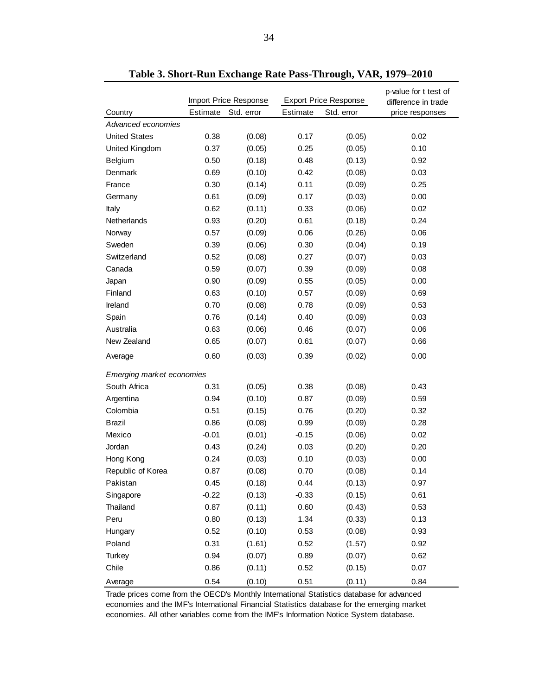|                           |          | Import Price Response | <b>Export Price Response</b> |            | p-value for t test of<br>difference in trade |
|---------------------------|----------|-----------------------|------------------------------|------------|----------------------------------------------|
| Country                   | Estimate | Std. error            | Estimate                     | Std. error | price responses                              |
| Advanced economies        |          |                       |                              |            |                                              |
| <b>United States</b>      | 0.38     | (0.08)                | 0.17                         | (0.05)     | 0.02                                         |
| United Kingdom            | 0.37     | (0.05)                | 0.25                         | (0.05)     | 0.10                                         |
| Belgium                   | 0.50     | (0.18)                | 0.48                         | (0.13)     | 0.92                                         |
| Denmark                   | 0.69     | (0.10)                | 0.42                         | (0.08)     | 0.03                                         |
| France                    | 0.30     | (0.14)                | 0.11                         | (0.09)     | 0.25                                         |
| Germany                   | 0.61     | (0.09)                | 0.17                         | (0.03)     | 0.00                                         |
| Italy                     | 0.62     | (0.11)                | 0.33                         | (0.06)     | 0.02                                         |
| Netherlands               | 0.93     | (0.20)                | 0.61                         | (0.18)     | 0.24                                         |
| Norway                    | 0.57     | (0.09)                | 0.06                         | (0.26)     | 0.06                                         |
| Sweden                    | 0.39     | (0.06)                | 0.30                         | (0.04)     | 0.19                                         |
| Switzerland               | 0.52     | (0.08)                | 0.27                         | (0.07)     | 0.03                                         |
| Canada                    | 0.59     | (0.07)                | 0.39                         | (0.09)     | 0.08                                         |
| Japan                     | 0.90     | (0.09)                | 0.55                         | (0.05)     | 0.00                                         |
| Finland                   | 0.63     | (0.10)                | 0.57                         | (0.09)     | 0.69                                         |
| Ireland                   | 0.70     | (0.08)                | 0.78                         | (0.09)     | 0.53                                         |
| Spain                     | 0.76     | (0.14)                | 0.40                         | (0.09)     | 0.03                                         |
| Australia                 | 0.63     | (0.06)                | 0.46                         | (0.07)     | 0.06                                         |
| New Zealand               | 0.65     | (0.07)                | 0.61                         | (0.07)     | 0.66                                         |
| Average                   | 0.60     | (0.03)                | 0.39                         | (0.02)     | 0.00                                         |
| Emerging market economies |          |                       |                              |            |                                              |
| South Africa              | 0.31     | (0.05)                | 0.38                         | (0.08)     | 0.43                                         |
| Argentina                 | 0.94     | (0.10)                | 0.87                         | (0.09)     | 0.59                                         |
| Colombia                  | 0.51     | (0.15)                | 0.76                         | (0.20)     | 0.32                                         |
| <b>Brazil</b>             | 0.86     | (0.08)                | 0.99                         | (0.09)     | 0.28                                         |
| Mexico                    | $-0.01$  | (0.01)                | $-0.15$                      | (0.06)     | 0.02                                         |
| Jordan                    | 0.43     | (0.24)                | 0.03                         | (0.20)     | 0.20                                         |
| Hong Kong                 | 0.24     | (0.03)                | 0.10                         | (0.03)     | 0.00                                         |
| Republic of Korea         | 0.87     | (0.08)                | 0.70                         | (0.08)     | 0.14                                         |
| Pakistan                  | 0.45     | (0.18)                | 0.44                         | (0.13)     | 0.97                                         |
| Singapore                 | $-0.22$  | (0.13)                | $-0.33$                      | (0.15)     | 0.61                                         |
| Thailand                  | 0.87     | (0.11)                | 0.60                         | (0.43)     | 0.53                                         |
| Peru                      | 0.80     | (0.13)                | 1.34                         | (0.33)     | 0.13                                         |
| Hungary                   | 0.52     | (0.10)                | 0.53                         | (0.08)     | 0.93                                         |
| Poland                    | 0.31     | (1.61)                | 0.52                         | (1.57)     | 0.92                                         |
| <b>Turkey</b>             | 0.94     | (0.07)                | 0.89                         | (0.07)     | 0.62                                         |
| Chile                     | 0.86     | (0.11)                | 0.52                         | (0.15)     | 0.07                                         |
| Average                   | 0.54     | (0.10)                | 0.51                         | (0.11)     | 0.84                                         |

**Table 3. Short-Run Exchange Rate Pass-Through, VAR, 1979–2010**

Trade prices come from the OECD's Monthly International Statistics database for advanced economies and the IMF's International Financial Statistics database for the emerging market economies. All other variables come from the IMF's Information Notice System database.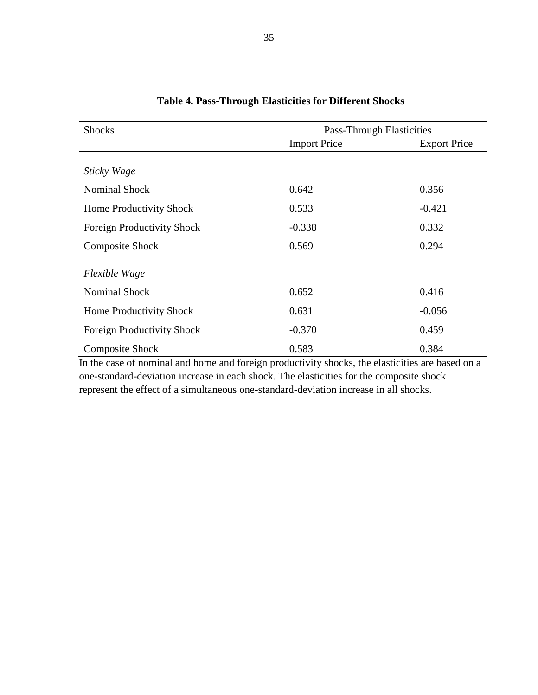| <b>Shocks</b>                     | <b>Pass-Through Elasticities</b> |                     |  |  |  |
|-----------------------------------|----------------------------------|---------------------|--|--|--|
|                                   | <b>Import Price</b>              | <b>Export Price</b> |  |  |  |
| Sticky Wage                       |                                  |                     |  |  |  |
| <b>Nominal Shock</b>              | 0.642                            | 0.356               |  |  |  |
| Home Productivity Shock           | 0.533                            | $-0.421$            |  |  |  |
| Foreign Productivity Shock        | $-0.338$                         | 0.332               |  |  |  |
| <b>Composite Shock</b>            | 0.569                            | 0.294               |  |  |  |
| Flexible Wage                     |                                  |                     |  |  |  |
| <b>Nominal Shock</b>              | 0.652                            | 0.416               |  |  |  |
| Home Productivity Shock           | 0.631                            | $-0.056$            |  |  |  |
| <b>Foreign Productivity Shock</b> | $-0.370$                         | 0.459               |  |  |  |
| <b>Composite Shock</b>            | 0.583                            | 0.384               |  |  |  |

#### **Table 4. Pass-Through Elasticities for Different Shocks**

In the case of nominal and home and foreign productivity shocks, the elasticities are based on a one-standard-deviation increase in each shock. The elasticities for the composite shock represent the effect of a simultaneous one-standard-deviation increase in all shocks.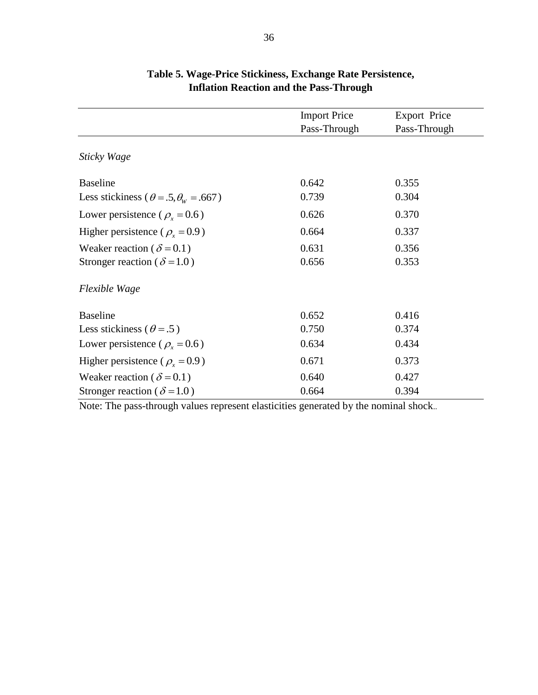|                                                    | <b>Import Price</b> | <b>Export Price</b> |
|----------------------------------------------------|---------------------|---------------------|
|                                                    | Pass-Through        | Pass-Through        |
| Sticky Wage                                        |                     |                     |
| <b>Baseline</b>                                    | 0.642               | 0.355               |
| Less stickiness ( $\theta = .5, \theta_w = .667$ ) | 0.739               | 0.304               |
| Lower persistence ( $\rho_r = 0.6$ )               | 0.626               | 0.370               |
| Higher persistence ( $\rho_r = 0.9$ )              | 0.664               | 0.337               |
| Weaker reaction ( $\delta$ = 0.1)                  | 0.631               | 0.356               |
| Stronger reaction ( $\delta$ =1.0)                 | 0.656               | 0.353               |
| Flexible Wage                                      |                     |                     |
| <b>Baseline</b>                                    | 0.652               | 0.416               |
| Less stickiness ( $\theta = .5$ )                  | 0.750               | 0.374               |
| Lower persistence ( $\rho_x = 0.6$ )               | 0.634               | 0.434               |
| Higher persistence ( $\rho_r = 0.9$ )              | 0.671               | 0.373               |
| Weaker reaction ( $\delta$ = 0.1)                  | 0.640               | 0.427               |
| Stronger reaction ( $\delta$ =1.0)                 | 0.664               | 0.394               |

### **Table 5. Wage-Price Stickiness, Exchange Rate Persistence, Inflation Reaction and the Pass-Through**

Note: The pass-through values represent elasticities generated by the nominal shock..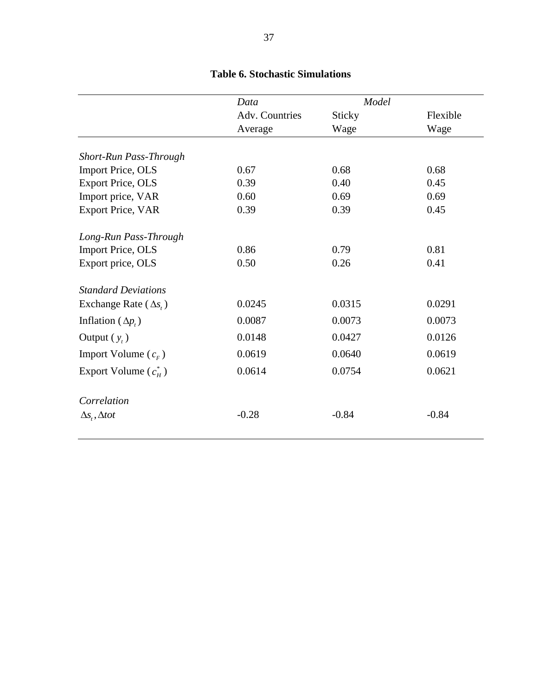| Data           | Model   |          |
|----------------|---------|----------|
| Adv. Countries | Sticky  | Flexible |
| Average        | Wage    | Wage     |
|                |         |          |
| 0.67           | 0.68    | 0.68     |
| 0.39           | 0.40    | 0.45     |
| 0.60           | 0.69    | 0.69     |
| 0.39           | 0.39    | 0.45     |
|                |         |          |
| 0.86           | 0.79    | 0.81     |
| 0.50           | 0.26    | 0.41     |
|                |         |          |
| 0.0245         | 0.0315  | 0.0291   |
| 0.0087         | 0.0073  | 0.0073   |
| 0.0148         | 0.0427  | 0.0126   |
| 0.0619         | 0.0640  | 0.0619   |
| 0.0614         | 0.0754  | 0.0621   |
|                |         |          |
| $-0.28$        | $-0.84$ | $-0.84$  |
|                |         |          |

## **Table 6. Stochastic Simulations**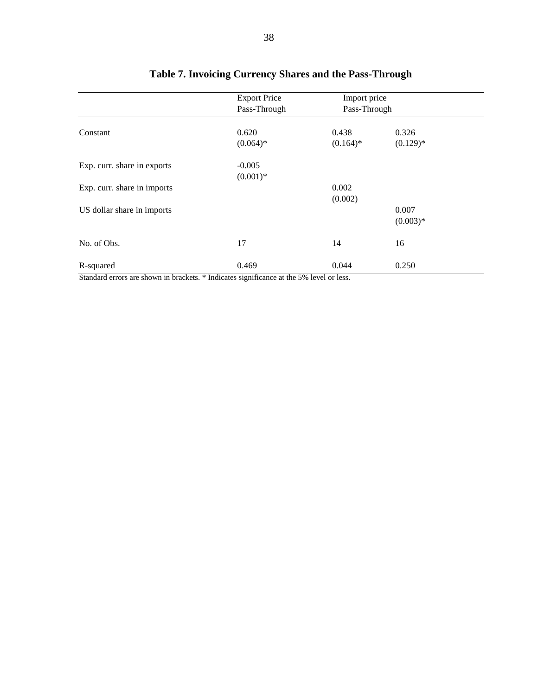|                             | <b>Export Price</b> | Import price |             |  |
|-----------------------------|---------------------|--------------|-------------|--|
|                             | Pass-Through        | Pass-Through |             |  |
| Constant                    | 0.620               | 0.438        | 0.326       |  |
|                             |                     |              |             |  |
|                             | $(0.064)*$          | $(0.164)^*$  | $(0.129)$ * |  |
| Exp. curr. share in exports | $-0.005$            |              |             |  |
|                             | $(0.001)*$          |              |             |  |
| Exp. curr. share in imports |                     | 0.002        |             |  |
|                             |                     | (0.002)      |             |  |
| US dollar share in imports  |                     |              | 0.007       |  |
|                             |                     |              | $(0.003)*$  |  |
| No. of Obs.                 | 17                  | 14           | 16          |  |
| R-squared                   | 0.469               | 0.044        | 0.250       |  |

## **Table 7. Invoicing Currency Shares and the Pass-Through**

Standard errors are shown in brackets. \* Indicates significance at the 5% level or less.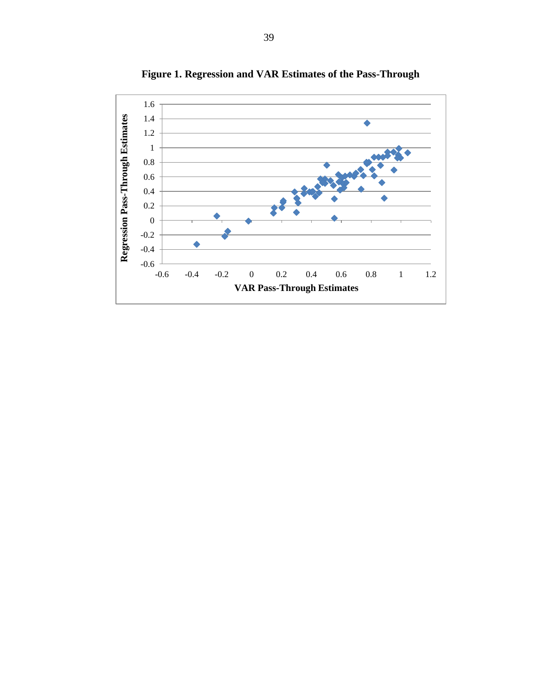

**Figure 1. Regression and VAR Estimates of the Pass-Through**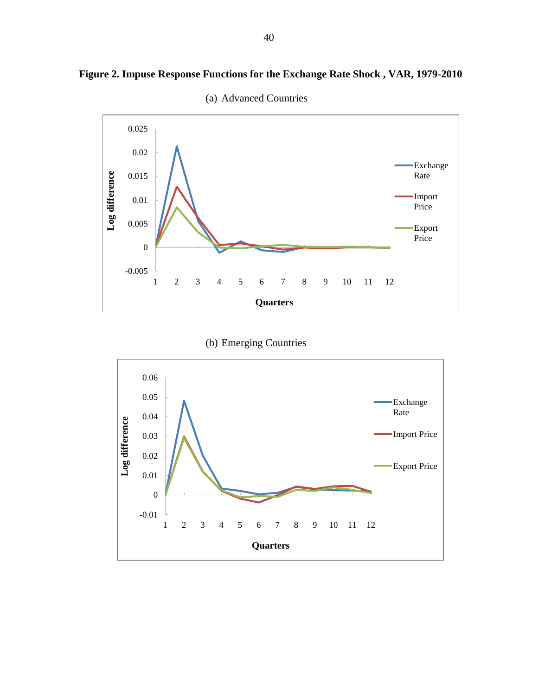

**Figure 2. Impuse Response Functions for the Exchange Rate Shock , VAR, 1979-2010**



(b) Emerging Countries

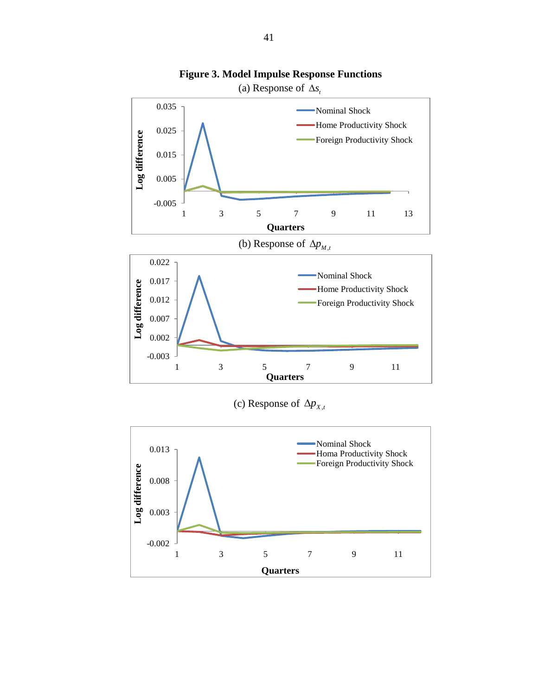

**Figure 3. Model Impulse Response Functions**

(c) Response of  $\Delta p_{X,t}$ 

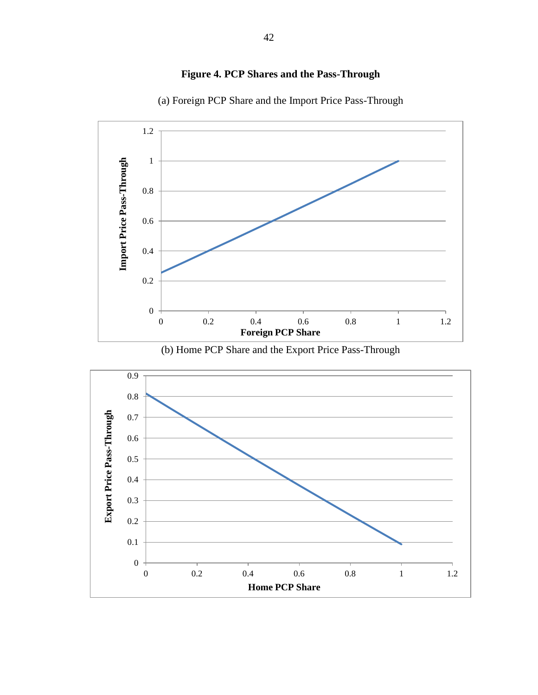

**Figure 4. PCP Shares and the Pass-Through**



(a) Foreign PCP Share and the Import Price Pass-Through

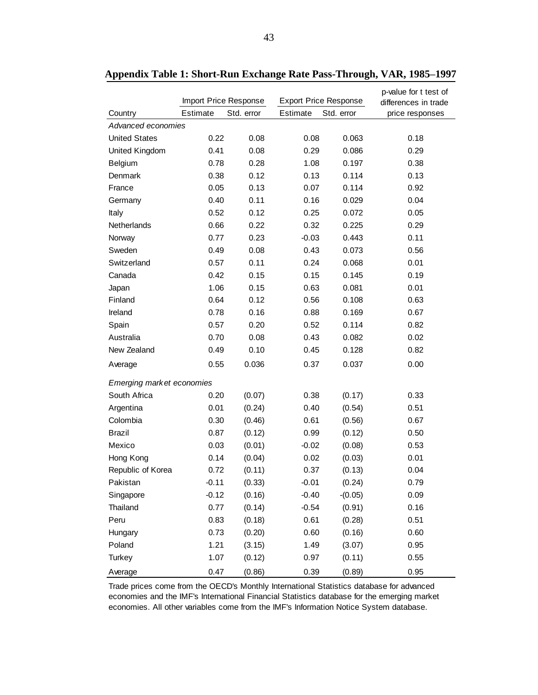|                           | Import Price Response |            |          | <b>Export Price Response</b> | p-value for t test of<br>differences in trade |
|---------------------------|-----------------------|------------|----------|------------------------------|-----------------------------------------------|
| Country                   | Estimate              | Std. error | Estimate | Std. error                   | price responses                               |
| Advanced economies        |                       |            |          |                              |                                               |
| <b>United States</b>      | 0.22                  | 0.08       | 0.08     | 0.063                        | 0.18                                          |
| United Kingdom            | 0.41                  | 0.08       | 0.29     | 0.086                        | 0.29                                          |
| Belgium                   | 0.78                  | 0.28       | 1.08     | 0.197                        | 0.38                                          |
| Denmark                   | 0.38                  | 0.12       | 0.13     | 0.114                        | 0.13                                          |
| France                    | 0.05                  | 0.13       | 0.07     | 0.114                        | 0.92                                          |
| Germany                   | 0.40                  | 0.11       | 0.16     | 0.029                        | 0.04                                          |
| Italy                     | 0.52                  | 0.12       | 0.25     | 0.072                        | 0.05                                          |
| Netherlands               | 0.66                  | 0.22       | 0.32     | 0.225                        | 0.29                                          |
| Norway                    | 0.77                  | 0.23       | $-0.03$  | 0.443                        | 0.11                                          |
| Sweden                    | 0.49                  | 0.08       | 0.43     | 0.073                        | 0.56                                          |
| Switzerland               | 0.57                  | 0.11       | 0.24     | 0.068                        | 0.01                                          |
| Canada                    | 0.42                  | 0.15       | 0.15     | 0.145                        | 0.19                                          |
| Japan                     | 1.06                  | 0.15       | 0.63     | 0.081                        | 0.01                                          |
| Finland                   | 0.64                  | 0.12       | 0.56     | 0.108                        | 0.63                                          |
| Ireland                   | 0.78                  | 0.16       | 0.88     | 0.169                        | 0.67                                          |
| Spain                     | 0.57                  | 0.20       | 0.52     | 0.114                        | 0.82                                          |
| Australia                 | 0.70                  | 0.08       | 0.43     | 0.082                        | 0.02                                          |
| New Zealand               | 0.49                  | 0.10       | 0.45     | 0.128                        | 0.82                                          |
| Average                   | 0.55                  | 0.036      | 0.37     | 0.037                        | 0.00                                          |
| Emerging market economies |                       |            |          |                              |                                               |
| South Africa              | 0.20                  | (0.07)     | 0.38     | (0.17)                       | 0.33                                          |
| Argentina                 | 0.01                  | (0.24)     | 0.40     | (0.54)                       | 0.51                                          |
| Colombia                  | 0.30                  | (0.46)     | 0.61     | (0.56)                       | 0.67                                          |
| <b>Brazil</b>             | 0.87                  | (0.12)     | 0.99     | (0.12)                       | 0.50                                          |
| Mexico                    | 0.03                  | (0.01)     | $-0.02$  | (0.08)                       | 0.53                                          |
| Hong Kong                 | 0.14                  | (0.04)     | 0.02     | (0.03)                       | 0.01                                          |
| Republic of Korea         | 0.72                  | (0.11)     | 0.37     | (0.13)                       | 0.04                                          |
| Pakistan                  | $-0.11$               | (0.33)     | $-0.01$  | (0.24)                       | 0.79                                          |
| Singapore                 | $-0.12$               | (0.16)     | $-0.40$  | $-(0.05)$                    | 0.09                                          |
| Thailand                  | 0.77                  | (0.14)     | $-0.54$  | (0.91)                       | 0.16                                          |
| Peru                      | 0.83                  | (0.18)     | 0.61     | (0.28)                       | 0.51                                          |
| Hungary                   | 0.73                  | (0.20)     | 0.60     | (0.16)                       | 0.60                                          |
| Poland                    | 1.21                  | (3.15)     | 1.49     | (3.07)                       | 0.95                                          |
| <b>Turkey</b>             | 1.07                  | (0.12)     | 0.97     | (0.11)                       | 0.55                                          |
| Average                   | 0.47                  | (0.86)     | 0.39     | (0.89)                       | 0.95                                          |

**Appendix Table 1: Short-Run Exchange Rate Pass-Through, VAR, 1985–1997**

Trade prices come from the OECD's Monthly International Statistics database for advanced economies and the IMF's International Financial Statistics database for the emerging market economies. All other variables come from the IMF's Information Notice System database.